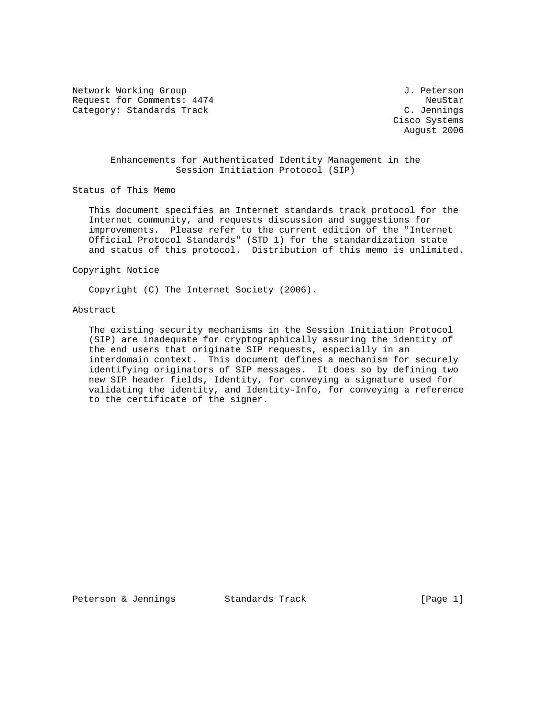Network Working Group 3. 2012 1. Peterson Request for Comments: 4474 NeuStar Category: Standards Track C. Jennings

 Cisco Systems August 2006

# Enhancements for Authenticated Identity Management in the Session Initiation Protocol (SIP)

Status of This Memo

 This document specifies an Internet standards track protocol for the Internet community, and requests discussion and suggestions for improvements. Please refer to the current edition of the "Internet Official Protocol Standards" (STD 1) for the standardization state and status of this protocol. Distribution of this memo is unlimited.

Copyright Notice

Copyright (C) The Internet Society (2006).

# Abstract

 The existing security mechanisms in the Session Initiation Protocol (SIP) are inadequate for cryptographically assuring the identity of the end users that originate SIP requests, especially in an interdomain context. This document defines a mechanism for securely identifying originators of SIP messages. It does so by defining two new SIP header fields, Identity, for conveying a signature used for validating the identity, and Identity-Info, for conveying a reference to the certificate of the signer.

Peterson & Jennings Standards Track [Page 1]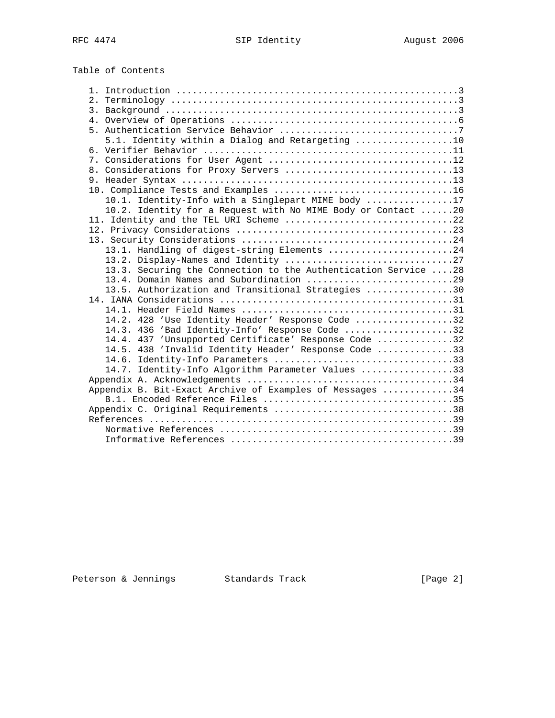Table of Contents

| 1.                                                                                                 |  |
|----------------------------------------------------------------------------------------------------|--|
|                                                                                                    |  |
|                                                                                                    |  |
|                                                                                                    |  |
|                                                                                                    |  |
| 5.1. Identity within a Dialog and Retargeting 10                                                   |  |
|                                                                                                    |  |
|                                                                                                    |  |
| 8. Considerations for Proxy Servers 13                                                             |  |
|                                                                                                    |  |
|                                                                                                    |  |
| 10.1. Identity-Info with a Singlepart MIME body 17                                                 |  |
| 10.2. Identity for a Request with No MIME Body or Contact 20                                       |  |
| 11. Identity and the TEL URI Scheme 22                                                             |  |
|                                                                                                    |  |
|                                                                                                    |  |
| 13.1. Handling of digest-string Elements 24                                                        |  |
|                                                                                                    |  |
| 13.3. Securing the Connection to the Authentication Service 28                                     |  |
| 13.4. Domain Names and Subordination 29                                                            |  |
| 13.5. Authorization and Transitional Strategies 30                                                 |  |
|                                                                                                    |  |
|                                                                                                    |  |
| 14.2. 428 'Use Identity Header' Response Code 32<br>14.3. 436 'Bad Identity-Info' Response Code 32 |  |
| 14.4. 437 'Unsupported Certificate' Response Code 32                                               |  |
| 14.5. 438 'Invalid Identity Header' Response Code 33                                               |  |
| 14.6. Identity-Info Parameters 33                                                                  |  |
| 14.7. Identity-Info Algorithm Parameter Values 33                                                  |  |
|                                                                                                    |  |
| Appendix B. Bit-Exact Archive of Examples of Messages 34                                           |  |
|                                                                                                    |  |
|                                                                                                    |  |
|                                                                                                    |  |
|                                                                                                    |  |
|                                                                                                    |  |

Peterson & Jennings Standards Track (Page 2)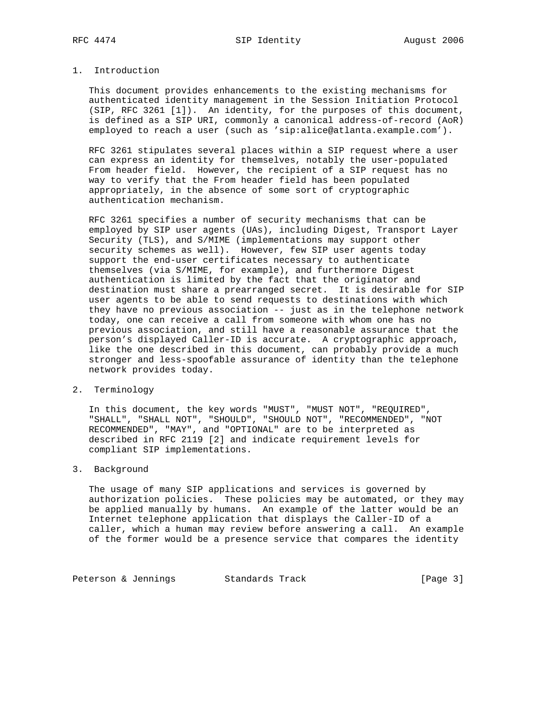# 1. Introduction

 This document provides enhancements to the existing mechanisms for authenticated identity management in the Session Initiation Protocol (SIP, RFC 3261 [1]). An identity, for the purposes of this document, is defined as a SIP URI, commonly a canonical address-of-record (AoR) employed to reach a user (such as 'sip:alice@atlanta.example.com').

 RFC 3261 stipulates several places within a SIP request where a user can express an identity for themselves, notably the user-populated From header field. However, the recipient of a SIP request has no way to verify that the From header field has been populated appropriately, in the absence of some sort of cryptographic authentication mechanism.

 RFC 3261 specifies a number of security mechanisms that can be employed by SIP user agents (UAs), including Digest, Transport Layer Security (TLS), and S/MIME (implementations may support other security schemes as well). However, few SIP user agents today support the end-user certificates necessary to authenticate themselves (via S/MIME, for example), and furthermore Digest authentication is limited by the fact that the originator and destination must share a prearranged secret. It is desirable for SIP user agents to be able to send requests to destinations with which they have no previous association -- just as in the telephone network today, one can receive a call from someone with whom one has no previous association, and still have a reasonable assurance that the person's displayed Caller-ID is accurate. A cryptographic approach, like the one described in this document, can probably provide a much stronger and less-spoofable assurance of identity than the telephone network provides today.

# 2. Terminology

 In this document, the key words "MUST", "MUST NOT", "REQUIRED", "SHALL", "SHALL NOT", "SHOULD", "SHOULD NOT", "RECOMMENDED", "NOT RECOMMENDED", "MAY", and "OPTIONAL" are to be interpreted as described in RFC 2119 [2] and indicate requirement levels for compliant SIP implementations.

# 3. Background

 The usage of many SIP applications and services is governed by authorization policies. These policies may be automated, or they may be applied manually by humans. An example of the latter would be an Internet telephone application that displays the Caller-ID of a caller, which a human may review before answering a call. An example of the former would be a presence service that compares the identity

Peterson & Jennings Standards Track (Page 3)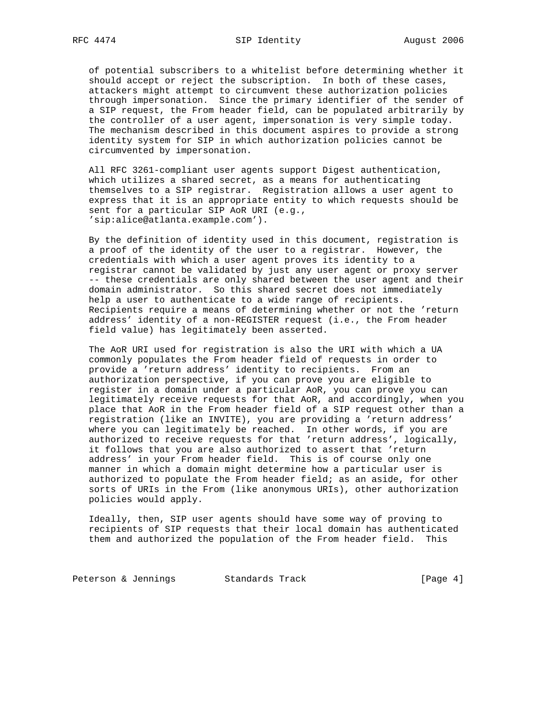of potential subscribers to a whitelist before determining whether it should accept or reject the subscription. In both of these cases, attackers might attempt to circumvent these authorization policies through impersonation. Since the primary identifier of the sender of a SIP request, the From header field, can be populated arbitrarily by the controller of a user agent, impersonation is very simple today. The mechanism described in this document aspires to provide a strong identity system for SIP in which authorization policies cannot be circumvented by impersonation.

 All RFC 3261-compliant user agents support Digest authentication, which utilizes a shared secret, as a means for authenticating themselves to a SIP registrar. Registration allows a user agent to express that it is an appropriate entity to which requests should be sent for a particular SIP AoR URI (e.g., 'sip:alice@atlanta.example.com').

 By the definition of identity used in this document, registration is a proof of the identity of the user to a registrar. However, the credentials with which a user agent proves its identity to a registrar cannot be validated by just any user agent or proxy server -- these credentials are only shared between the user agent and their domain administrator. So this shared secret does not immediately help a user to authenticate to a wide range of recipients. Recipients require a means of determining whether or not the 'return address' identity of a non-REGISTER request (i.e., the From header field value) has legitimately been asserted.

 The AoR URI used for registration is also the URI with which a UA commonly populates the From header field of requests in order to provide a 'return address' identity to recipients. From an authorization perspective, if you can prove you are eligible to register in a domain under a particular AoR, you can prove you can legitimately receive requests for that AoR, and accordingly, when you place that AoR in the From header field of a SIP request other than a registration (like an INVITE), you are providing a 'return address' where you can legitimately be reached. In other words, if you are authorized to receive requests for that 'return address', logically, it follows that you are also authorized to assert that 'return address' in your From header field. This is of course only one manner in which a domain might determine how a particular user is authorized to populate the From header field; as an aside, for other sorts of URIs in the From (like anonymous URIs), other authorization policies would apply.

 Ideally, then, SIP user agents should have some way of proving to recipients of SIP requests that their local domain has authenticated them and authorized the population of the From header field. This

Peterson & Jennings Standards Track (Page 4)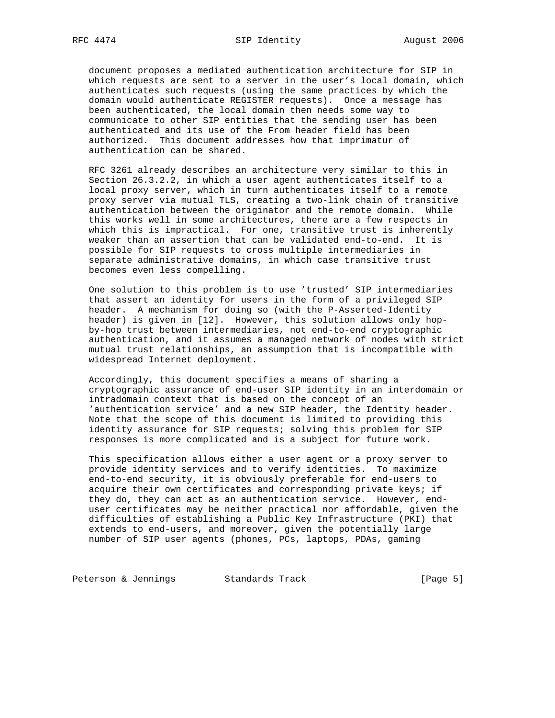document proposes a mediated authentication architecture for SIP in which requests are sent to a server in the user's local domain, which authenticates such requests (using the same practices by which the domain would authenticate REGISTER requests). Once a message has been authenticated, the local domain then needs some way to communicate to other SIP entities that the sending user has been authenticated and its use of the From header field has been authorized. This document addresses how that imprimatur of authentication can be shared.

 RFC 3261 already describes an architecture very similar to this in Section 26.3.2.2, in which a user agent authenticates itself to a local proxy server, which in turn authenticates itself to a remote proxy server via mutual TLS, creating a two-link chain of transitive authentication between the originator and the remote domain. While this works well in some architectures, there are a few respects in which this is impractical. For one, transitive trust is inherently weaker than an assertion that can be validated end-to-end. It is possible for SIP requests to cross multiple intermediaries in separate administrative domains, in which case transitive trust becomes even less compelling.

 One solution to this problem is to use 'trusted' SIP intermediaries that assert an identity for users in the form of a privileged SIP header. A mechanism for doing so (with the P-Asserted-Identity header) is given in [12]. However, this solution allows only hop by-hop trust between intermediaries, not end-to-end cryptographic authentication, and it assumes a managed network of nodes with strict mutual trust relationships, an assumption that is incompatible with widespread Internet deployment.

 Accordingly, this document specifies a means of sharing a cryptographic assurance of end-user SIP identity in an interdomain or intradomain context that is based on the concept of an 'authentication service' and a new SIP header, the Identity header. Note that the scope of this document is limited to providing this identity assurance for SIP requests; solving this problem for SIP responses is more complicated and is a subject for future work.

 This specification allows either a user agent or a proxy server to provide identity services and to verify identities. To maximize end-to-end security, it is obviously preferable for end-users to acquire their own certificates and corresponding private keys; if they do, they can act as an authentication service. However, end user certificates may be neither practical nor affordable, given the difficulties of establishing a Public Key Infrastructure (PKI) that extends to end-users, and moreover, given the potentially large number of SIP user agents (phones, PCs, laptops, PDAs, gaming

Peterson & Jennings Standards Track (Page 5)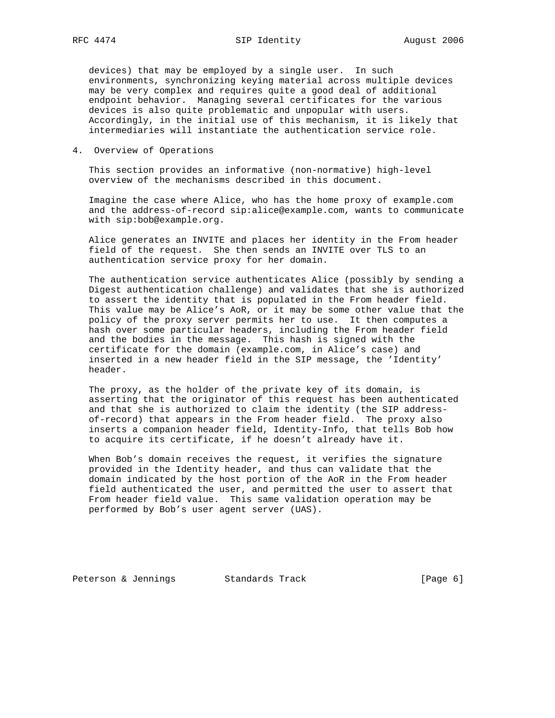# RFC 4474 SIP Identity August 2006

 devices) that may be employed by a single user. In such environments, synchronizing keying material across multiple devices may be very complex and requires quite a good deal of additional endpoint behavior. Managing several certificates for the various devices is also quite problematic and unpopular with users. Accordingly, in the initial use of this mechanism, it is likely that intermediaries will instantiate the authentication service role.

4. Overview of Operations

 This section provides an informative (non-normative) high-level overview of the mechanisms described in this document.

 Imagine the case where Alice, who has the home proxy of example.com and the address-of-record sip:alice@example.com, wants to communicate with sip:bob@example.org.

 Alice generates an INVITE and places her identity in the From header field of the request. She then sends an INVITE over TLS to an authentication service proxy for her domain.

 The authentication service authenticates Alice (possibly by sending a Digest authentication challenge) and validates that she is authorized to assert the identity that is populated in the From header field. This value may be Alice's AoR, or it may be some other value that the policy of the proxy server permits her to use. It then computes a hash over some particular headers, including the From header field and the bodies in the message. This hash is signed with the certificate for the domain (example.com, in Alice's case) and inserted in a new header field in the SIP message, the 'Identity' header.

 The proxy, as the holder of the private key of its domain, is asserting that the originator of this request has been authenticated and that she is authorized to claim the identity (the SIP address of-record) that appears in the From header field. The proxy also inserts a companion header field, Identity-Info, that tells Bob how to acquire its certificate, if he doesn't already have it.

 When Bob's domain receives the request, it verifies the signature provided in the Identity header, and thus can validate that the domain indicated by the host portion of the AoR in the From header field authenticated the user, and permitted the user to assert that From header field value. This same validation operation may be performed by Bob's user agent server (UAS).

Peterson & Jennings Standards Track [Page 6]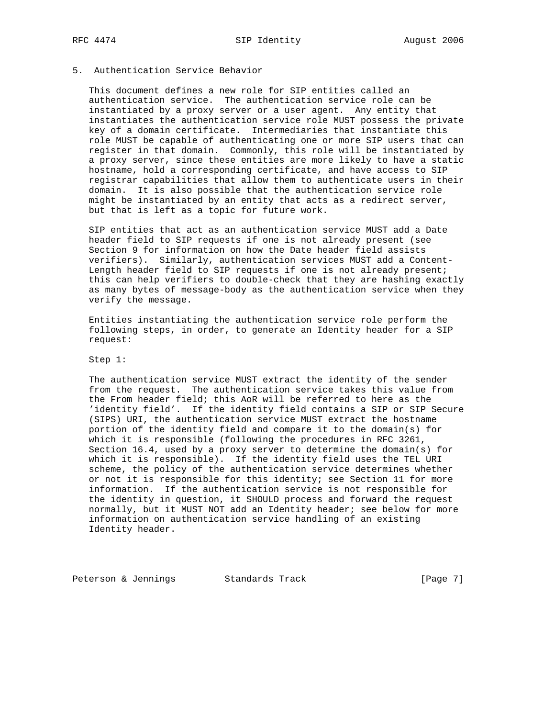# 5. Authentication Service Behavior

 This document defines a new role for SIP entities called an authentication service. The authentication service role can be instantiated by a proxy server or a user agent. Any entity that instantiates the authentication service role MUST possess the private key of a domain certificate. Intermediaries that instantiate this role MUST be capable of authenticating one or more SIP users that can register in that domain. Commonly, this role will be instantiated by a proxy server, since these entities are more likely to have a static hostname, hold a corresponding certificate, and have access to SIP registrar capabilities that allow them to authenticate users in their domain. It is also possible that the authentication service role might be instantiated by an entity that acts as a redirect server, but that is left as a topic for future work.

 SIP entities that act as an authentication service MUST add a Date header field to SIP requests if one is not already present (see Section 9 for information on how the Date header field assists verifiers). Similarly, authentication services MUST add a Content- Length header field to SIP requests if one is not already present; this can help verifiers to double-check that they are hashing exactly as many bytes of message-body as the authentication service when they verify the message.

 Entities instantiating the authentication service role perform the following steps, in order, to generate an Identity header for a SIP request:

Step 1:

 The authentication service MUST extract the identity of the sender from the request. The authentication service takes this value from the From header field; this AoR will be referred to here as the 'identity field'. If the identity field contains a SIP or SIP Secure (SIPS) URI, the authentication service MUST extract the hostname portion of the identity field and compare it to the domain(s) for which it is responsible (following the procedures in RFC 3261, Section 16.4, used by a proxy server to determine the domain(s) for which it is responsible). If the identity field uses the TEL URI scheme, the policy of the authentication service determines whether or not it is responsible for this identity; see Section 11 for more information. If the authentication service is not responsible for the identity in question, it SHOULD process and forward the request normally, but it MUST NOT add an Identity header; see below for more information on authentication service handling of an existing Identity header.

Peterson & Jennings Standards Track [Page 7]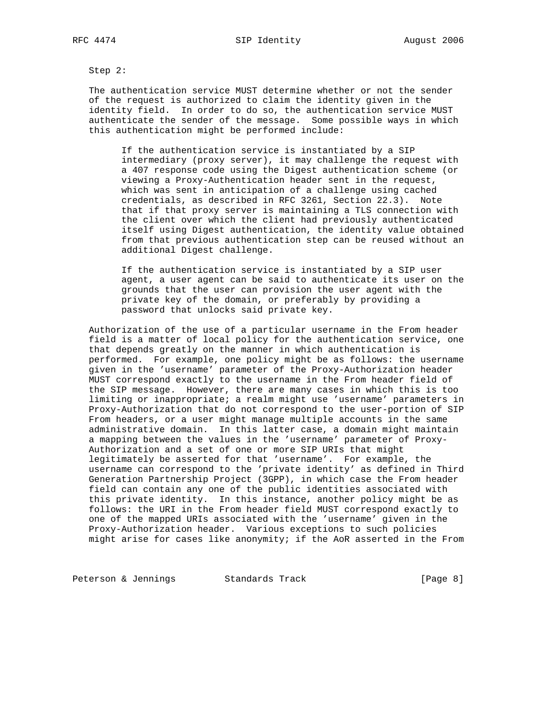Step 2:

 The authentication service MUST determine whether or not the sender of the request is authorized to claim the identity given in the identity field. In order to do so, the authentication service MUST authenticate the sender of the message. Some possible ways in which this authentication might be performed include:

 If the authentication service is instantiated by a SIP intermediary (proxy server), it may challenge the request with a 407 response code using the Digest authentication scheme (or viewing a Proxy-Authentication header sent in the request, which was sent in anticipation of a challenge using cached credentials, as described in RFC 3261, Section 22.3). Note that if that proxy server is maintaining a TLS connection with the client over which the client had previously authenticated itself using Digest authentication, the identity value obtained from that previous authentication step can be reused without an additional Digest challenge.

 If the authentication service is instantiated by a SIP user agent, a user agent can be said to authenticate its user on the grounds that the user can provision the user agent with the private key of the domain, or preferably by providing a password that unlocks said private key.

 Authorization of the use of a particular username in the From header field is a matter of local policy for the authentication service, one that depends greatly on the manner in which authentication is performed. For example, one policy might be as follows: the username given in the 'username' parameter of the Proxy-Authorization header MUST correspond exactly to the username in the From header field of the SIP message. However, there are many cases in which this is too limiting or inappropriate; a realm might use 'username' parameters in Proxy-Authorization that do not correspond to the user-portion of SIP From headers, or a user might manage multiple accounts in the same administrative domain. In this latter case, a domain might maintain a mapping between the values in the 'username' parameter of Proxy- Authorization and a set of one or more SIP URIs that might legitimately be asserted for that 'username'. For example, the username can correspond to the 'private identity' as defined in Third Generation Partnership Project (3GPP), in which case the From header field can contain any one of the public identities associated with this private identity. In this instance, another policy might be as follows: the URI in the From header field MUST correspond exactly to one of the mapped URIs associated with the 'username' given in the Proxy-Authorization header. Various exceptions to such policies might arise for cases like anonymity; if the AoR asserted in the From

Peterson & Jennings Standards Track (Page 8)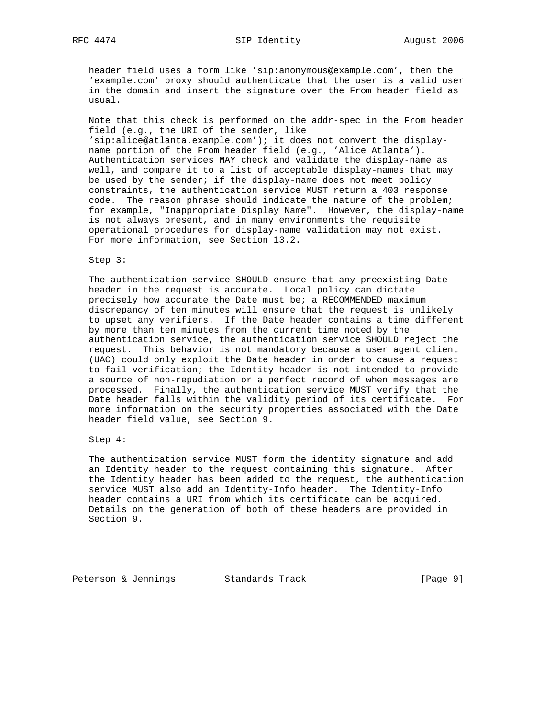# RFC 4474 SIP Identity August 2006

 header field uses a form like 'sip:anonymous@example.com', then the 'example.com' proxy should authenticate that the user is a valid user in the domain and insert the signature over the From header field as usual.

 Note that this check is performed on the addr-spec in the From header field (e.g., the URI of the sender, like 'sip:alice@atlanta.example.com'); it does not convert the display name portion of the From header field (e.g., 'Alice Atlanta'). Authentication services MAY check and validate the display-name as well, and compare it to a list of acceptable display-names that may be used by the sender; if the display-name does not meet policy constraints, the authentication service MUST return a 403 response code. The reason phrase should indicate the nature of the problem; for example, "Inappropriate Display Name". However, the display-name is not always present, and in many environments the requisite operational procedures for display-name validation may not exist. For more information, see Section 13.2.

Step 3:

 The authentication service SHOULD ensure that any preexisting Date header in the request is accurate. Local policy can dictate precisely how accurate the Date must be; a RECOMMENDED maximum discrepancy of ten minutes will ensure that the request is unlikely to upset any verifiers. If the Date header contains a time different by more than ten minutes from the current time noted by the authentication service, the authentication service SHOULD reject the request. This behavior is not mandatory because a user agent client (UAC) could only exploit the Date header in order to cause a request to fail verification; the Identity header is not intended to provide a source of non-repudiation or a perfect record of when messages are processed. Finally, the authentication service MUST verify that the Date header falls within the validity period of its certificate. For more information on the security properties associated with the Date header field value, see Section 9.

Step 4:

 The authentication service MUST form the identity signature and add an Identity header to the request containing this signature. After the Identity header has been added to the request, the authentication service MUST also add an Identity-Info header. The Identity-Info header contains a URI from which its certificate can be acquired. Details on the generation of both of these headers are provided in Section 9.

Peterson & Jennings Standards Track [Page 9]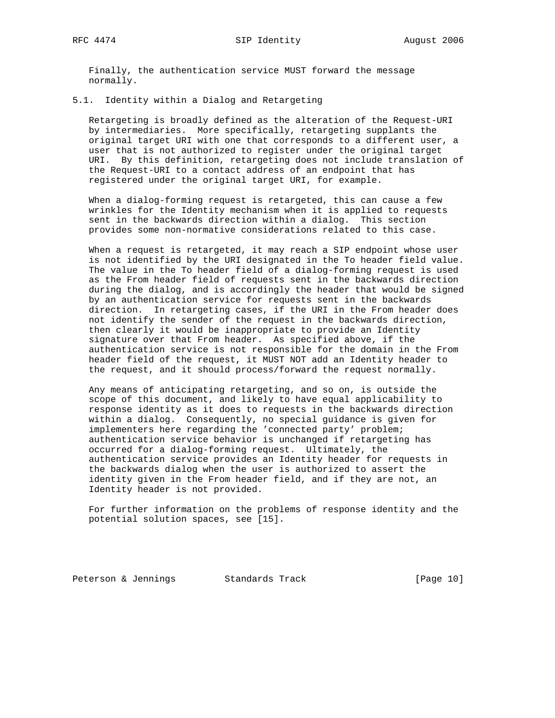Finally, the authentication service MUST forward the message normally.

# 5.1. Identity within a Dialog and Retargeting

 Retargeting is broadly defined as the alteration of the Request-URI by intermediaries. More specifically, retargeting supplants the original target URI with one that corresponds to a different user, a user that is not authorized to register under the original target URI. By this definition, retargeting does not include translation of the Request-URI to a contact address of an endpoint that has registered under the original target URI, for example.

 When a dialog-forming request is retargeted, this can cause a few wrinkles for the Identity mechanism when it is applied to requests sent in the backwards direction within a dialog. This section provides some non-normative considerations related to this case.

 When a request is retargeted, it may reach a SIP endpoint whose user is not identified by the URI designated in the To header field value. The value in the To header field of a dialog-forming request is used as the From header field of requests sent in the backwards direction during the dialog, and is accordingly the header that would be signed by an authentication service for requests sent in the backwards direction. In retargeting cases, if the URI in the From header does not identify the sender of the request in the backwards direction, then clearly it would be inappropriate to provide an Identity signature over that From header. As specified above, if the authentication service is not responsible for the domain in the From header field of the request, it MUST NOT add an Identity header to the request, and it should process/forward the request normally.

 Any means of anticipating retargeting, and so on, is outside the scope of this document, and likely to have equal applicability to response identity as it does to requests in the backwards direction within a dialog. Consequently, no special guidance is given for implementers here regarding the 'connected party' problem; authentication service behavior is unchanged if retargeting has occurred for a dialog-forming request. Ultimately, the authentication service provides an Identity header for requests in the backwards dialog when the user is authorized to assert the identity given in the From header field, and if they are not, an Identity header is not provided.

 For further information on the problems of response identity and the potential solution spaces, see [15].

Peterson & Jennings Standards Track [Page 10]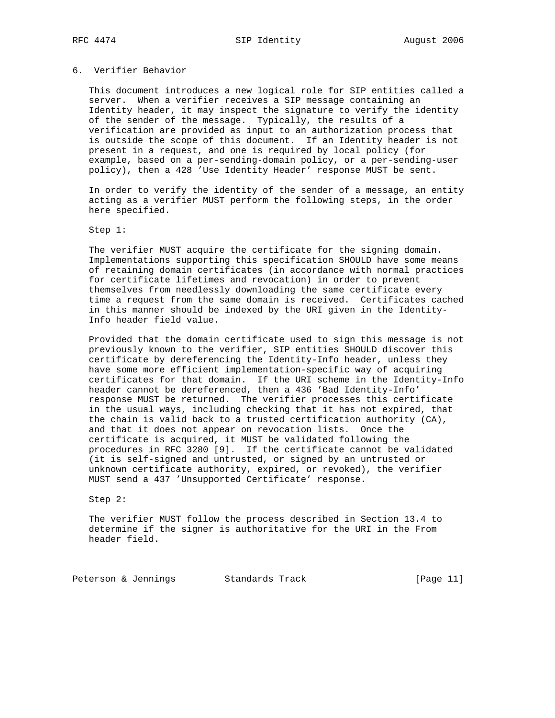# 6. Verifier Behavior

 This document introduces a new logical role for SIP entities called a server. When a verifier receives a SIP message containing an Identity header, it may inspect the signature to verify the identity of the sender of the message. Typically, the results of a verification are provided as input to an authorization process that is outside the scope of this document. If an Identity header is not present in a request, and one is required by local policy (for example, based on a per-sending-domain policy, or a per-sending-user policy), then a 428 'Use Identity Header' response MUST be sent.

 In order to verify the identity of the sender of a message, an entity acting as a verifier MUST perform the following steps, in the order here specified.

## Step 1:

 The verifier MUST acquire the certificate for the signing domain. Implementations supporting this specification SHOULD have some means of retaining domain certificates (in accordance with normal practices for certificate lifetimes and revocation) in order to prevent themselves from needlessly downloading the same certificate every time a request from the same domain is received. Certificates cached in this manner should be indexed by the URI given in the Identity- Info header field value.

 Provided that the domain certificate used to sign this message is not previously known to the verifier, SIP entities SHOULD discover this certificate by dereferencing the Identity-Info header, unless they have some more efficient implementation-specific way of acquiring certificates for that domain. If the URI scheme in the Identity-Info header cannot be dereferenced, then a 436 'Bad Identity-Info' response MUST be returned. The verifier processes this certificate in the usual ways, including checking that it has not expired, that the chain is valid back to a trusted certification authority (CA), and that it does not appear on revocation lists. Once the certificate is acquired, it MUST be validated following the procedures in RFC 3280 [9]. If the certificate cannot be validated (it is self-signed and untrusted, or signed by an untrusted or unknown certificate authority, expired, or revoked), the verifier MUST send a 437 'Unsupported Certificate' response.

#### Step 2:

 The verifier MUST follow the process described in Section 13.4 to determine if the signer is authoritative for the URI in the From header field.

Peterson & Jennings Standards Track [Page 11]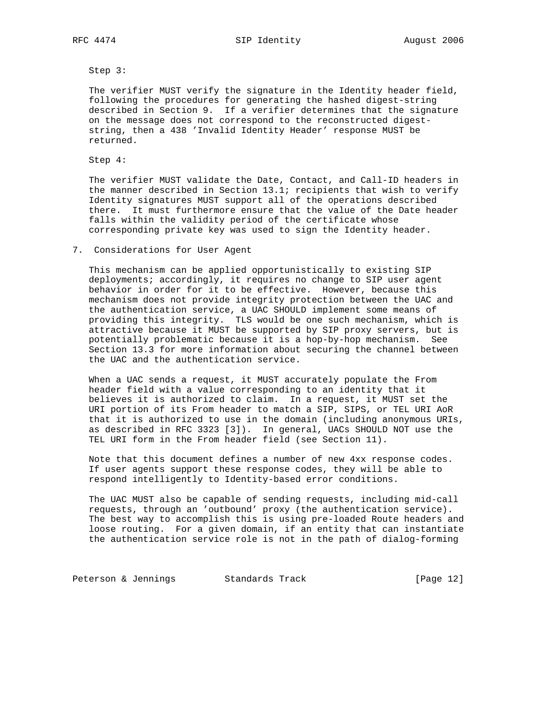Step 3:

 The verifier MUST verify the signature in the Identity header field, following the procedures for generating the hashed digest-string described in Section 9. If a verifier determines that the signature on the message does not correspond to the reconstructed digest string, then a 438 'Invalid Identity Header' response MUST be returned.

Step 4:

 The verifier MUST validate the Date, Contact, and Call-ID headers in the manner described in Section 13.1; recipients that wish to verify Identity signatures MUST support all of the operations described there. It must furthermore ensure that the value of the Date header falls within the validity period of the certificate whose corresponding private key was used to sign the Identity header.

#### 7. Considerations for User Agent

 This mechanism can be applied opportunistically to existing SIP deployments; accordingly, it requires no change to SIP user agent behavior in order for it to be effective. However, because this mechanism does not provide integrity protection between the UAC and the authentication service, a UAC SHOULD implement some means of providing this integrity. TLS would be one such mechanism, which is attractive because it MUST be supported by SIP proxy servers, but is potentially problematic because it is a hop-by-hop mechanism. See Section 13.3 for more information about securing the channel between the UAC and the authentication service.

 When a UAC sends a request, it MUST accurately populate the From header field with a value corresponding to an identity that it believes it is authorized to claim. In a request, it MUST set the URI portion of its From header to match a SIP, SIPS, or TEL URI AoR that it is authorized to use in the domain (including anonymous URIs, as described in RFC 3323 [3]). In general, UACs SHOULD NOT use the TEL URI form in the From header field (see Section 11).

 Note that this document defines a number of new 4xx response codes. If user agents support these response codes, they will be able to respond intelligently to Identity-based error conditions.

 The UAC MUST also be capable of sending requests, including mid-call requests, through an 'outbound' proxy (the authentication service). The best way to accomplish this is using pre-loaded Route headers and loose routing. For a given domain, if an entity that can instantiate the authentication service role is not in the path of dialog-forming

Peterson & Jennings Standards Track [Page 12]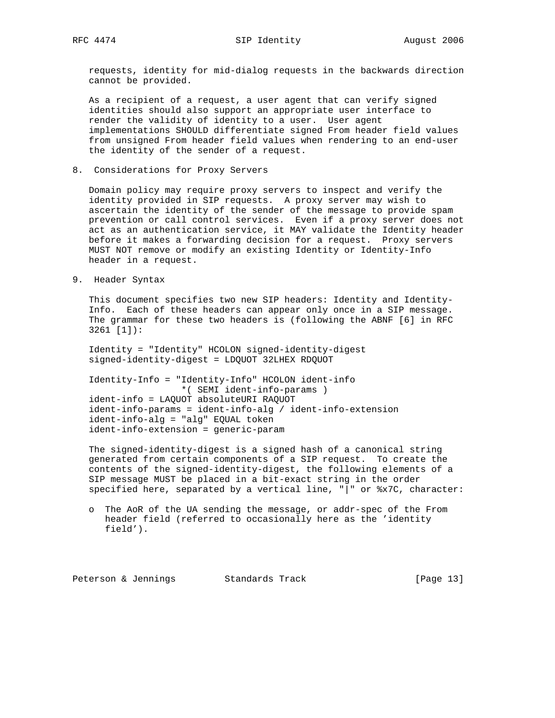requests, identity for mid-dialog requests in the backwards direction cannot be provided.

 As a recipient of a request, a user agent that can verify signed identities should also support an appropriate user interface to render the validity of identity to a user. User agent implementations SHOULD differentiate signed From header field values from unsigned From header field values when rendering to an end-user the identity of the sender of a request.

8. Considerations for Proxy Servers

 Domain policy may require proxy servers to inspect and verify the identity provided in SIP requests. A proxy server may wish to ascertain the identity of the sender of the message to provide spam prevention or call control services. Even if a proxy server does not act as an authentication service, it MAY validate the Identity header before it makes a forwarding decision for a request. Proxy servers MUST NOT remove or modify an existing Identity or Identity-Info header in a request.

9. Header Syntax

 This document specifies two new SIP headers: Identity and Identity- Info. Each of these headers can appear only once in a SIP message. The grammar for these two headers is (following the ABNF [6] in RFC 3261 [1]):

 Identity = "Identity" HCOLON signed-identity-digest signed-identity-digest = LDQUOT 32LHEX RDQUOT

 Identity-Info = "Identity-Info" HCOLON ident-info \*( SEMI ident-info-params ) ident-info = LAQUOT absoluteURI RAQUOT ident-info-params = ident-info-alg / ident-info-extension ident-info-alg = "alg" EQUAL token ident-info-extension = generic-param

 The signed-identity-digest is a signed hash of a canonical string generated from certain components of a SIP request. To create the contents of the signed-identity-digest, the following elements of a SIP message MUST be placed in a bit-exact string in the order specified here, separated by a vertical line, "|" or %x7C, character:

 o The AoR of the UA sending the message, or addr-spec of the From header field (referred to occasionally here as the 'identity field').

Peterson & Jennings Standards Track [Page 13]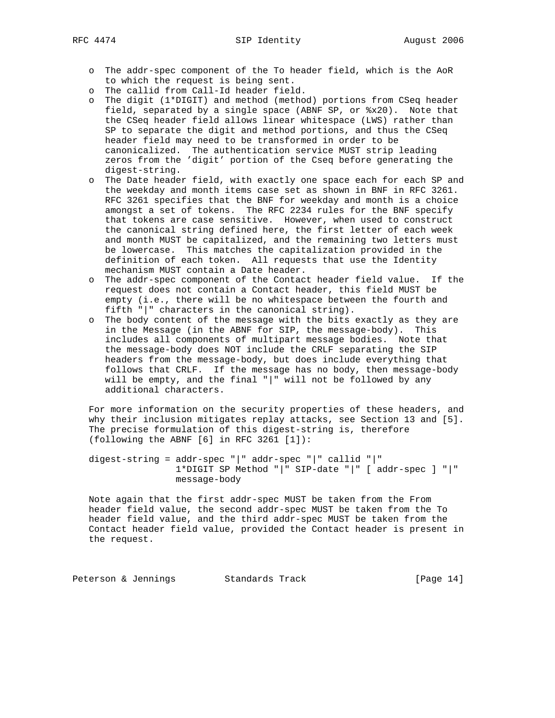- o The addr-spec component of the To header field, which is the AoR to which the request is being sent.
- o The callid from Call-Id header field.
- o The digit (1\*DIGIT) and method (method) portions from CSeq header field, separated by a single space (ABNF SP, or %x20). Note that the CSeq header field allows linear whitespace (LWS) rather than SP to separate the digit and method portions, and thus the CSeq header field may need to be transformed in order to be canonicalized. The authentication service MUST strip leading zeros from the 'digit' portion of the Cseq before generating the digest-string.
- o The Date header field, with exactly one space each for each SP and the weekday and month items case set as shown in BNF in RFC 3261. RFC 3261 specifies that the BNF for weekday and month is a choice amongst a set of tokens. The RFC 2234 rules for the BNF specify that tokens are case sensitive. However, when used to construct the canonical string defined here, the first letter of each week and month MUST be capitalized, and the remaining two letters must be lowercase. This matches the capitalization provided in the definition of each token. All requests that use the Identity mechanism MUST contain a Date header.
- o The addr-spec component of the Contact header field value. If the request does not contain a Contact header, this field MUST be empty (i.e., there will be no whitespace between the fourth and fifth "|" characters in the canonical string).
- o The body content of the message with the bits exactly as they are in the Message (in the ABNF for SIP, the message-body). This includes all components of multipart message bodies. Note that the message-body does NOT include the CRLF separating the SIP headers from the message-body, but does include everything that follows that CRLF. If the message has no body, then message-body will be empty, and the final "|" will not be followed by any additional characters.

 For more information on the security properties of these headers, and why their inclusion mitigates replay attacks, see Section 13 and [5]. The precise formulation of this digest-string is, therefore (following the ABNF [6] in RFC 3261 [1]):

digest-string =  $addr$ -spec "|"  $addr$ -spec "|"  $callid$  "|" 1\*DIGIT SP Method "|" SIP-date "|" [ addr-spec ] "|" message-body

 Note again that the first addr-spec MUST be taken from the From header field value, the second addr-spec MUST be taken from the To header field value, and the third addr-spec MUST be taken from the Contact header field value, provided the Contact header is present in the request.

Peterson & Jennings Standards Track [Page 14]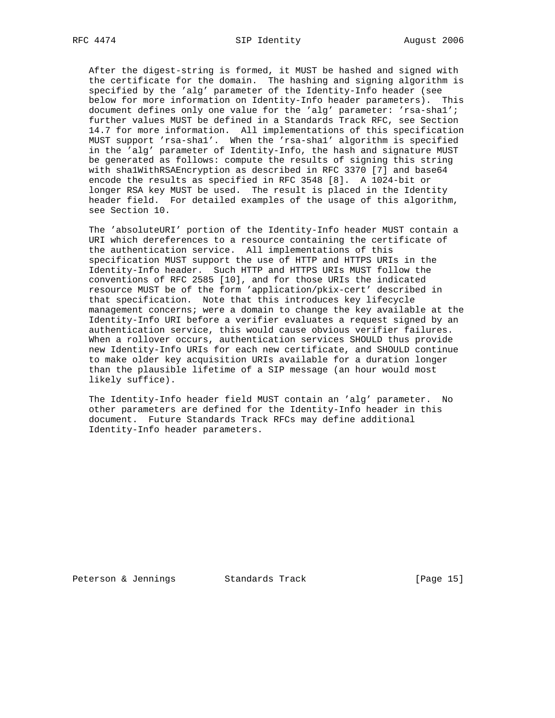After the digest-string is formed, it MUST be hashed and signed with the certificate for the domain. The hashing and signing algorithm is specified by the 'alg' parameter of the Identity-Info header (see below for more information on Identity-Info header parameters). This document defines only one value for the 'alg' parameter: 'rsa-sha1'; further values MUST be defined in a Standards Track RFC, see Section 14.7 for more information. All implementations of this specification MUST support 'rsa-sha1'. When the 'rsa-sha1' algorithm is specified in the 'alg' parameter of Identity-Info, the hash and signature MUST be generated as follows: compute the results of signing this string with sha1WithRSAEncryption as described in RFC 3370 [7] and base64 encode the results as specified in RFC 3548 [8]. A 1024-bit or longer RSA key MUST be used. The result is placed in the Identity header field. For detailed examples of the usage of this algorithm, see Section 10.

 The 'absoluteURI' portion of the Identity-Info header MUST contain a URI which dereferences to a resource containing the certificate of the authentication service. All implementations of this specification MUST support the use of HTTP and HTTPS URIs in the Identity-Info header. Such HTTP and HTTPS URIs MUST follow the conventions of RFC 2585 [10], and for those URIs the indicated resource MUST be of the form 'application/pkix-cert' described in that specification. Note that this introduces key lifecycle management concerns; were a domain to change the key available at the Identity-Info URI before a verifier evaluates a request signed by an authentication service, this would cause obvious verifier failures. When a rollover occurs, authentication services SHOULD thus provide new Identity-Info URIs for each new certificate, and SHOULD continue to make older key acquisition URIs available for a duration longer than the plausible lifetime of a SIP message (an hour would most likely suffice).

 The Identity-Info header field MUST contain an 'alg' parameter. No other parameters are defined for the Identity-Info header in this document. Future Standards Track RFCs may define additional Identity-Info header parameters.

Peterson & Jennings Standards Track [Page 15]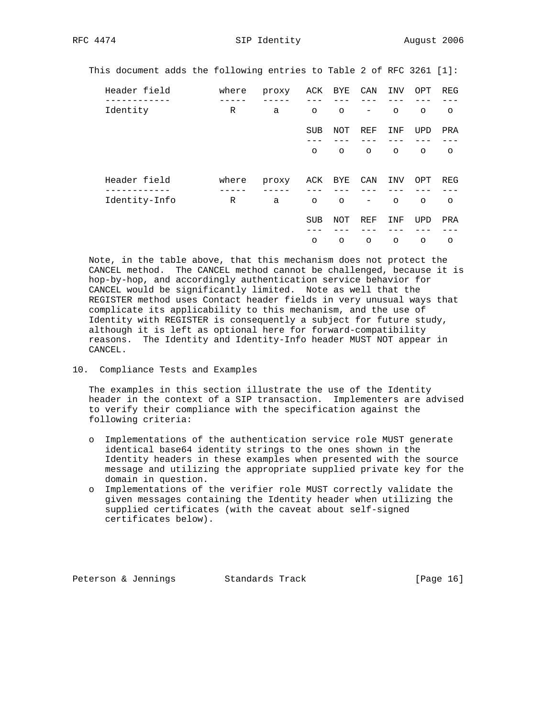This document adds the following entries to Table 2 of RFC 3261 [1]:

| Header field  | where       | proxy | ACK        | BYE     | CAN     | INV     | OPT        | REG     |
|---------------|-------------|-------|------------|---------|---------|---------|------------|---------|
| Identity      | $\mathbb R$ | a     | $\circ$    | $\circ$ |         | O       | $\circ$    | $\circ$ |
|               |             |       | <b>SUB</b> | NOT     | REF     | INF     | <b>UPD</b> | PRA     |
|               |             |       | $\circ$    | $\circ$ | $\circ$ | $\circ$ | $\circ$    | $\circ$ |
| Header field  |             |       |            |         |         |         |            |         |
|               | where       | proxy | ACK        | BYE     | CAN     | INV     | OPT        | REG     |
| Identity-Info | $\mathbb R$ | a     | $\circ$    | $\circ$ |         | $\circ$ | $\circ$    | $\circ$ |
|               |             |       | <b>SUB</b> | NOT     | REF     | INF     | <b>UPD</b> | PRA     |
|               |             |       | $\circ$    | $\circ$ | $\circ$ | O       | O          | O       |
|               |             |       |            |         |         |         |            |         |

 Note, in the table above, that this mechanism does not protect the CANCEL method. The CANCEL method cannot be challenged, because it is hop-by-hop, and accordingly authentication service behavior for CANCEL would be significantly limited. Note as well that the REGISTER method uses Contact header fields in very unusual ways that complicate its applicability to this mechanism, and the use of Identity with REGISTER is consequently a subject for future study, although it is left as optional here for forward-compatibility reasons. The Identity and Identity-Info header MUST NOT appear in CANCEL.

## 10. Compliance Tests and Examples

 The examples in this section illustrate the use of the Identity header in the context of a SIP transaction. Implementers are advised to verify their compliance with the specification against the following criteria:

- o Implementations of the authentication service role MUST generate identical base64 identity strings to the ones shown in the Identity headers in these examples when presented with the source message and utilizing the appropriate supplied private key for the domain in question.
- o Implementations of the verifier role MUST correctly validate the given messages containing the Identity header when utilizing the supplied certificates (with the caveat about self-signed certificates below).

Peterson & Jennings Standards Track [Page 16]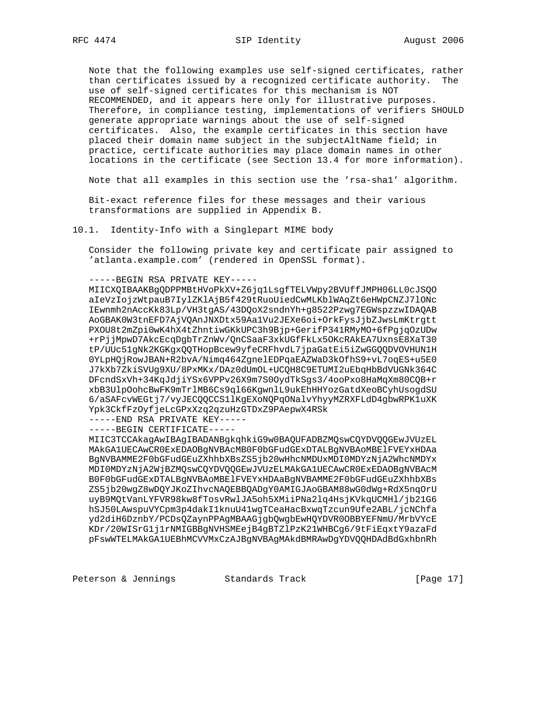Note that the following examples use self-signed certificates, rather than certificates issued by a recognized certificate authority. The use of self-signed certificates for this mechanism is NOT RECOMMENDED, and it appears here only for illustrative purposes. Therefore, in compliance testing, implementations of verifiers SHOULD generate appropriate warnings about the use of self-signed certificates. Also, the example certificates in this section have placed their domain name subject in the subjectAltName field; in practice, certificate authorities may place domain names in other locations in the certificate (see Section 13.4 for more information).

Note that all examples in this section use the 'rsa-sha1' algorithm.

 Bit-exact reference files for these messages and their various transformations are supplied in Appendix B.

10.1. Identity-Info with a Singlepart MIME body

 Consider the following private key and certificate pair assigned to 'atlanta.example.com' (rendered in OpenSSL format).

#### -----BEGIN RSA PRIVATE KEY-----

 MIICXQIBAAKBgQDPPMBtHVoPkXV+Z6jq1LsgfTELVWpy2BVUffJMPH06LL0cJSQO aIeVzIojzWtpauB7IylZKlAjB5f429tRuoUiedCwMLKblWAqZt6eHWpCNZJ7lONc IEwnmh2nAccKk83Lp/VH3tgAS/43DQoX2sndnYh+g8522Pzwg7EGWspzzwIDAQAB AoGBAK0W3tnEFD7AjVQAnJNXDtx59Aa1Vu2JEXe6oi+OrkFysJjbZJwsLmKtrgtt PXOU8t2mZpi0wK4hX4tZhntiwGKkUPC3h9Bjp+GerifP341RMyMO+6fPgjqOzUDw +rPjjMpwD7AkcEcqDgbTrZnWv/QnCSaaF3xkUGfFkLx5OKcRAkEA7UxnsE8XaT30 tP/UUc51gNk2KGKgxQQTHopBcew9yfeCRFhvdL7jpaGatEi5iZwGGQQDVOVHUN1H 0YLpHQjRowJBAN+R2bvA/Nimq464ZgnelEDPqaEAZWaD3kOfhS9+vL7oqES+u5E0 J7kXb7ZkiSVUg9XU/8PxMKx/DAz0dUmOL+UCQH8C9ETUMI2uEbqHbBdVUGNk364C DFcndSxVh+34KqJdjiYSx6VPPv26X9m7S0OydTkSgs3/4ooPxo8HaMqXm80CQB+r xbB3UlpOohcBwFK9mTrlMB6Cs9ql66KgwnlL9ukEhHHYozGatdXeoBCyhUsogdSU 6/aSAFcvWEGtj7/vyJECQQCCS1lKgEXoNQPqONalvYhyyMZRXFLdD4gbwRPK1uXK Ypk3CkfFzOyfjeLcGPxXzq2qzuHzGTDxZ9PAepwX4RSk

-----END RSA PRIVATE KEY-----

-----BEGIN CERTIFICATE-----

 MIIC3TCCAkagAwIBAgIBADANBgkqhkiG9w0BAQUFADBZMQswCQYDVQQGEwJVUzEL MAkGA1UECAwCR0ExEDAOBgNVBAcMB0F0bGFudGExDTALBgNVBAoMBElFVEYxHDAa BgNVBAMME2F0bGFudGEuZXhhbXBsZS5jb20wHhcNMDUxMDI0MDYzNjA2WhcNMDYx MDI0MDYzNjA2WjBZMQswCQYDVQQGEwJVUzELMAkGA1UECAwCR0ExEDAOBgNVBAcM B0F0bGFudGExDTALBgNVBAoMBElFVEYxHDAaBgNVBAMME2F0bGFudGEuZXhhbXBs ZS5jb20wgZ8wDQYJKoZIhvcNAQEBBQADgY0AMIGJAoGBAM88wG0dWg+RdX5nqOrU uyB9MQtVanLYFVR98kw8fTosvRwlJA5oh5XMiiPNa2lq4HsjKVkqUCMHl/jb21G6 hSJ50LAwspuVYCpm3p4dakI1knuU41wgTCeaHacBxwqTzcun9Ufe2ABL/jcNChfa yd2diH6DznbY/PCDsQZaynPPAgMBAAGjgbQwgbEwHQYDVR0OBBYEFNmU/MrbVYcE KDr/20WISrG1j1rNMIGBBgNVHSMEejB4gBTZlPzK21WHBCg6/9tFiEqxtY9azaFd pFswWTELMAkGA1UEBhMCVVMxCzAJBgNVBAgMAkdBMRAwDgYDVQQHDAdBdGxhbnRh

Peterson & Jennings Standards Track [Page 17]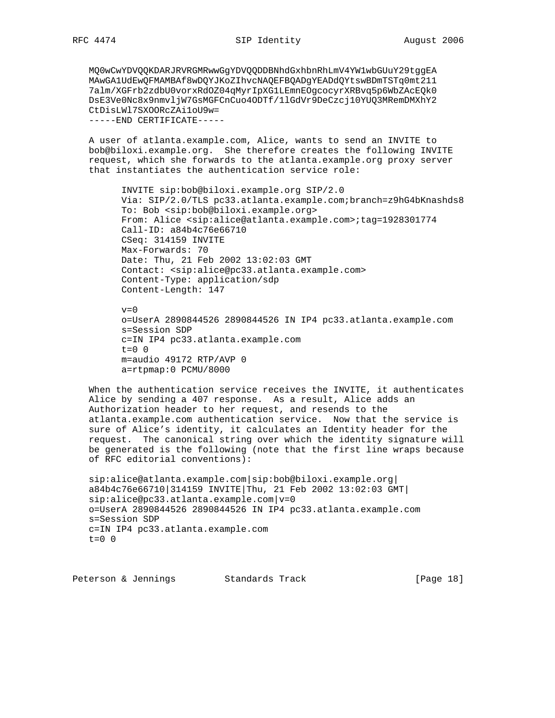# RFC 4474 SIP Identity August 2006

 MQ0wCwYDVQQKDARJRVRGMRwwGgYDVQQDDBNhdGxhbnRhLmV4YW1wbGUuY29tggEA MAwGA1UdEwQFMAMBAf8wDQYJKoZIhvcNAQEFBQADgYEADdQYtswBDmTSTq0mt211 7alm/XGFrb2zdbU0vorxRdOZ04qMyrIpXG1LEmnEOgcocyrXRBvq5p6WbZAcEQk0 DsE3Ve0Nc8x9nmvljW7GsMGFCnCuo4ODTf/1lGdVr9DeCzcj10YUQ3MRemDMXhY2 CtDisLWl7SXOORcZAi1oU9w= -----END CERTIFICATE-----

 A user of atlanta.example.com, Alice, wants to send an INVITE to bob@biloxi.example.org. She therefore creates the following INVITE request, which she forwards to the atlanta.example.org proxy server that instantiates the authentication service role:

 INVITE sip:bob@biloxi.example.org SIP/2.0 Via: SIP/2.0/TLS pc33.atlanta.example.com;branch=z9hG4bKnashds8 To: Bob <sip:bob@biloxi.example.org> From: Alice <sip:alice@atlanta.example.com>;tag=1928301774 Call-ID: a84b4c76e66710 CSeq: 314159 INVITE Max-Forwards: 70 Date: Thu, 21 Feb 2002 13:02:03 GMT Contact: <sip:alice@pc33.atlanta.example.com> Content-Type: application/sdp Content-Length: 147

 $v=0$ 

 o=UserA 2890844526 2890844526 IN IP4 pc33.atlanta.example.com s=Session SDP c=IN IP4 pc33.atlanta.example.com  $t=0$  0 m=audio 49172 RTP/AVP 0 a=rtpmap:0 PCMU/8000

 When the authentication service receives the INVITE, it authenticates Alice by sending a 407 response. As a result, Alice adds an Authorization header to her request, and resends to the atlanta.example.com authentication service. Now that the service is sure of Alice's identity, it calculates an Identity header for the request. The canonical string over which the identity signature will be generated is the following (note that the first line wraps because of RFC editorial conventions):

 sip:alice@atlanta.example.com|sip:bob@biloxi.example.org| a84b4c76e66710|314159 INVITE|Thu, 21 Feb 2002 13:02:03 GMT| sip:alice@pc33.atlanta.example.com|v=0 o=UserA 2890844526 2890844526 IN IP4 pc33.atlanta.example.com s=Session SDP c=IN IP4 pc33.atlanta.example.com  $t=0$  0

Peterson & Jennings Standards Track [Page 18]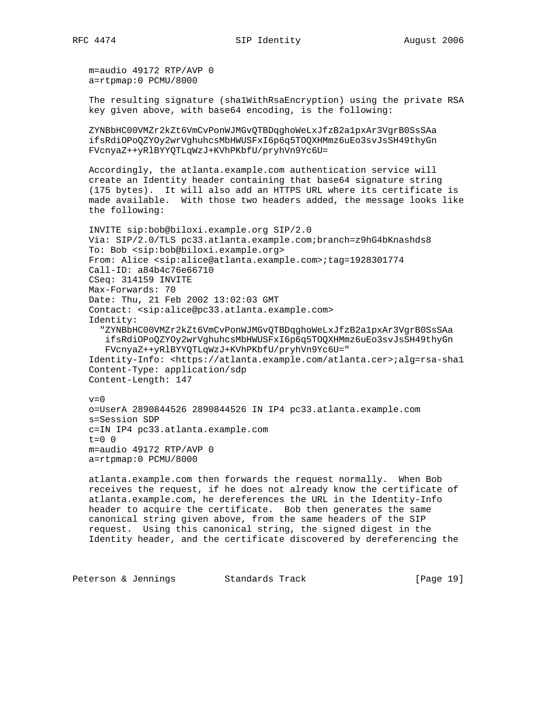m=audio 49172 RTP/AVP 0 a=rtpmap:0 PCMU/8000

 The resulting signature (sha1WithRsaEncryption) using the private RSA key given above, with base64 encoding, is the following:

 ZYNBbHC00VMZr2kZt6VmCvPonWJMGvQTBDqghoWeLxJfzB2a1pxAr3VgrB0SsSAa ifsRdiOPoQZYOy2wrVghuhcsMbHWUSFxI6p6q5TOQXHMmz6uEo3svJsSH49thyGn FVcnyaZ++yRlBYYQTLqWzJ+KVhPKbfU/pryhVn9Yc6U=

 Accordingly, the atlanta.example.com authentication service will create an Identity header containing that base64 signature string (175 bytes). It will also add an HTTPS URL where its certificate is made available. With those two headers added, the message looks like the following:

 INVITE sip:bob@biloxi.example.org SIP/2.0 Via: SIP/2.0/TLS pc33.atlanta.example.com;branch=z9hG4bKnashds8 To: Bob <sip:bob@biloxi.example.org> From: Alice <sip:alice@atlanta.example.com>;tag=1928301774 Call-ID: a84b4c76e66710 CSeq: 314159 INVITE Max-Forwards: 70 Date: Thu, 21 Feb 2002 13:02:03 GMT Contact: <sip:alice@pc33.atlanta.example.com> Identity: "ZYNBbHC00VMZr2kZt6VmCvPonWJMGvQTBDqghoWeLxJfzB2a1pxAr3VgrB0SsSAa ifsRdiOPoQZYOy2wrVghuhcsMbHWUSFxI6p6q5TOQXHMmz6uEo3svJsSH49thyGn FVcnyaZ++yRlBYYQTLqWzJ+KVhPKbfU/pryhVn9Yc6U=" Identity-Info: <https://atlanta.example.com/atlanta.cer>;alg=rsa-shal Content-Type: application/sdp Content-Length: 147

 $v=0$  o=UserA 2890844526 2890844526 IN IP4 pc33.atlanta.example.com s=Session SDP c=IN IP4 pc33.atlanta.example.com t=0 0 m=audio 49172 RTP/AVP 0 a=rtpmap:0 PCMU/8000

 atlanta.example.com then forwards the request normally. When Bob receives the request, if he does not already know the certificate of atlanta.example.com, he dereferences the URL in the Identity-Info header to acquire the certificate. Bob then generates the same canonical string given above, from the same headers of the SIP request. Using this canonical string, the signed digest in the Identity header, and the certificate discovered by dereferencing the

Peterson & Jennings Standards Track [Page 19]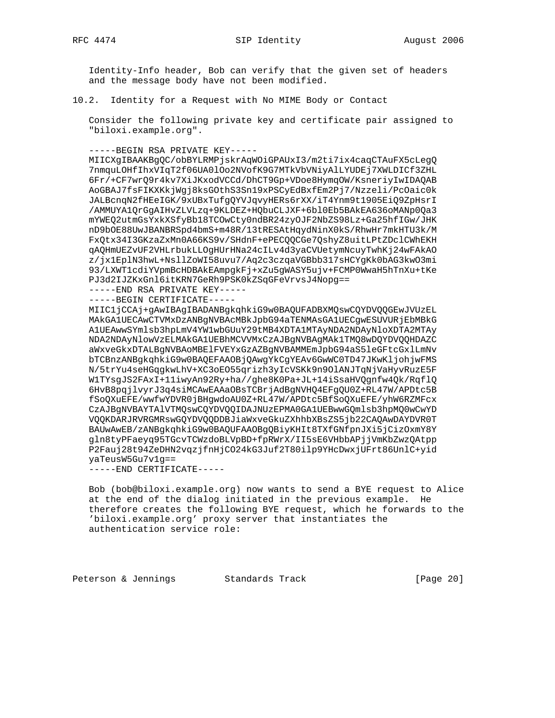Identity-Info header, Bob can verify that the given set of headers and the message body have not been modified.

10.2. Identity for a Request with No MIME Body or Contact

 Consider the following private key and certificate pair assigned to "biloxi.example.org".

-----BEGIN RSA PRIVATE KEY-----

 MIICXgIBAAKBgQC/obBYLRMPjskrAqWOiGPAUxI3/m2ti7ix4caqCTAuFX5cLegQ 7nmquLOHfIhxVIqT2f06UA0lOo2NVofK9G7MTkVbVNiyAlLYUDEj7XWLDICf3ZHL 6Fr/+CF7wrQ9r4kv7XiJKxodVCCd/DhCT9Gp+VDoe8HymqOW/KsneriyIwIDAQAB AoGBAJ7fsFIKXKkjWgj8ksGOthS3Sn19xPSCyEdBxfEm2Pj7/Nzzeli/PcOaic0k JALBcnqN2fHEeIGK/9xUBxTufgQYVJqvyHERs6rXX/iT4Ynm9t1905EiQ9ZpHsrI /AMMUYA1QrGgAIHvZLVLzq+9KLDEZ+HQbuCLJXF+6bl0Eb5BAkEA636oMANp0Qa3 mYWEQ2utmGsYxkXSfyBb18TCOwCty0ndBR24zyOJF2NbZS98Lz+Ga25hfIGw/JHK nD9bOE88UwJBANBRSpd4bmS+m48R/13tRESAtHqydNinX0kS/RhwHr7mkHTU3k/M FxQtx34I3GKzaZxMn0A66KS9v/SHdnF+ePECQQCGe7QshyZ8uitLPtZDclCWhEKH qAQHmUEZvUF2VHLrbukLLOgHUrHNa24cILv4d3yaCVUetymNcuyTwhKj24wFAkAO z/jx1EplN3hwL+NsllZoWI58uvu7/Aq2c3czqaVGBbb317sHCYgKk0bAG3kwO3mi 93/LXWT1cdiYVpmBcHDBAkEAmpgkFj+xZu5gWASY5ujv+FCMP0WwaH5hTnXu+tKe PJ3d2IJZKxGnl6itKRN7GeRh9PSK0kZSqGFeVrvsJ4Nopg==

```
 -----END RSA PRIVATE KEY-----
```
-----BEGIN CERTIFICATE-----

 MIIC1jCCAj+gAwIBAgIBADANBgkqhkiG9w0BAQUFADBXMQswCQYDVQQGEwJVUzEL MAkGA1UECAwCTVMxDzANBgNVBAcMBkJpbG94aTENMAsGA1UECgwESUVURjEbMBkG A1UEAwwSYmlsb3hpLmV4YW1wbGUuY29tMB4XDTA1MTAyNDA2NDAyNloXDTA2MTAy NDA2NDAyNlowVzELMAkGA1UEBhMCVVMxCzAJBgNVBAgMAk1TMQ8wDQYDVQQHDAZC aWxveGkxDTALBgNVBAoMBElFVEYxGzAZBgNVBAMMEmJpbG94aS5leGFtcGxlLmNv bTCBnzANBgkqhkiG9w0BAQEFAAOBjQAwgYkCgYEAv6GwWC0TD47JKwKljohjwFMS N/5trYu4seHGqgkwLhV+XC3oEO55qrizh3yIcVSKk9n9OlANJTqNjVaHyvRuzE5F W1TYsgJS2FAxI+11iwyAn92Ry+ha//ghe8K0Pa+JL+14iSsaHVQgnfw4Qk/RqflQ 6HvB8pqjlvyrJ3q4siMCAwEAAaOBsTCBrjAdBgNVHQ4EFgQU0Z+RL47W/APDtc5B fSoQXuEFE/wwfwYDVR0jBHgwdoAU0Z+RL47W/APDtc5BfSoQXuEFE/yhW6RZMFcx CzAJBgNVBAYTAlVTMQswCQYDVQQIDAJNUzEPMA0GA1UEBwwGQmlsb3hpMQ0wCwYD VQQKDARJRVRGMRswGQYDVQQDDBJiaWxveGkuZXhhbXBsZS5jb22CAQAwDAYDVR0T BAUwAwEB/zANBgkqhkiG9w0BAQUFAAOBgQBiyKHIt8TXfGNfpnJXi5jCizOxmY8Y gln8tyPFaeyq95TGcvTCWzdoBLVpBD+fpRWrX/II5sE6VHbbAPjjVmKbZwzQAtpp P2Fauj28t94ZeDHN2vqzjfnHjCO24kG3Juf2T80ilp9YHcDwxjUFrt86UnlC+yid yaTeusW5Gu7v1g==

-----END CERTIFICATE-----

 Bob (bob@biloxi.example.org) now wants to send a BYE request to Alice at the end of the dialog initiated in the previous example. He therefore creates the following BYE request, which he forwards to the 'biloxi.example.org' proxy server that instantiates the authentication service role:

Peterson & Jennings Standards Track [Page 20]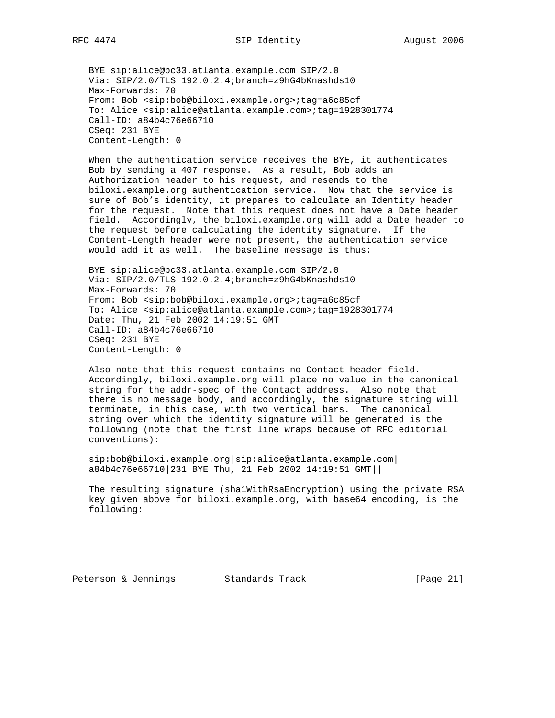BYE sip:alice@pc33.atlanta.example.com SIP/2.0 Via: SIP/2.0/TLS 192.0.2.4;branch=z9hG4bKnashds10 Max-Forwards: 70 From: Bob <sip:bob@biloxi.example.org>;tag=a6c85cf To: Alice <sip:alice@atlanta.example.com>;tag=1928301774 Call-ID: a84b4c76e66710 CSeq: 231 BYE Content-Length: 0

 When the authentication service receives the BYE, it authenticates Bob by sending a 407 response. As a result, Bob adds an Authorization header to his request, and resends to the biloxi.example.org authentication service. Now that the service is sure of Bob's identity, it prepares to calculate an Identity header for the request. Note that this request does not have a Date header field. Accordingly, the biloxi.example.org will add a Date header to the request before calculating the identity signature. If the Content-Length header were not present, the authentication service would add it as well. The baseline message is thus:

 BYE sip:alice@pc33.atlanta.example.com SIP/2.0 Via: SIP/2.0/TLS 192.0.2.4;branch=z9hG4bKnashds10 Max-Forwards: 70 From: Bob <sip:bob@biloxi.example.org>;tag=a6c85cf To: Alice <sip:alice@atlanta.example.com>;tag=1928301774 Date: Thu, 21 Feb 2002 14:19:51 GMT Call-ID: a84b4c76e66710 CSeq: 231 BYE Content-Length: 0

 Also note that this request contains no Contact header field. Accordingly, biloxi.example.org will place no value in the canonical string for the addr-spec of the Contact address. Also note that there is no message body, and accordingly, the signature string will terminate, in this case, with two vertical bars. The canonical string over which the identity signature will be generated is the following (note that the first line wraps because of RFC editorial conventions):

 sip:bob@biloxi.example.org|sip:alice@atlanta.example.com| a84b4c76e66710|231 BYE|Thu, 21 Feb 2002 14:19:51 GMT||

 The resulting signature (sha1WithRsaEncryption) using the private RSA key given above for biloxi.example.org, with base64 encoding, is the following:

Peterson & Jennings Standards Track [Page 21]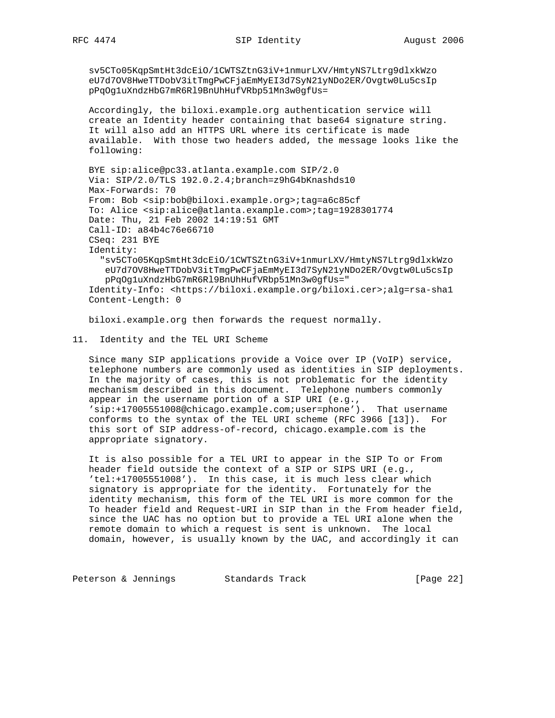# RFC 4474 SIP Identity August 2006

 sv5CTo05KqpSmtHt3dcEiO/1CWTSZtnG3iV+1nmurLXV/HmtyNS7Ltrg9dlxkWzo eU7d7OV8HweTTDobV3itTmgPwCFjaEmMyEI3d7SyN21yNDo2ER/Ovgtw0Lu5csIp pPqOg1uXndzHbG7mR6Rl9BnUhHufVRbp51Mn3w0gfUs=

 Accordingly, the biloxi.example.org authentication service will create an Identity header containing that base64 signature string. It will also add an HTTPS URL where its certificate is made available. With those two headers added, the message looks like the following:

 BYE sip:alice@pc33.atlanta.example.com SIP/2.0 Via: SIP/2.0/TLS 192.0.2.4;branch=z9hG4bKnashds10 Max-Forwards: 70 From: Bob <sip:bob@biloxi.example.org>;tag=a6c85cf To: Alice <sip:alice@atlanta.example.com>;tag=1928301774 Date: Thu, 21 Feb 2002 14:19:51 GMT Call-ID: a84b4c76e66710 CSeq: 231 BYE Identity: "sv5CTo05KqpSmtHt3dcEiO/1CWTSZtnG3iV+1nmurLXV/HmtyNS7Ltrg9dlxkWzo eU7d7OV8HweTTDobV3itTmgPwCFjaEmMyEI3d7SyN21yNDo2ER/Ovgtw0Lu5csIp pPqOg1uXndzHbG7mR6Rl9BnUhHufVRbp51Mn3w0gfUs=" Identity-Info: <https://biloxi.example.org/biloxi.cer>;alg=rsa-sha1 Content-Length: 0

biloxi.example.org then forwards the request normally.

#### 11. Identity and the TEL URI Scheme

 Since many SIP applications provide a Voice over IP (VoIP) service, telephone numbers are commonly used as identities in SIP deployments. In the majority of cases, this is not problematic for the identity mechanism described in this document. Telephone numbers commonly appear in the username portion of a SIP URI (e.g., 'sip:+17005551008@chicago.example.com;user=phone'). That username conforms to the syntax of the TEL URI scheme (RFC 3966 [13]). For this sort of SIP address-of-record, chicago.example.com is the appropriate signatory.

 It is also possible for a TEL URI to appear in the SIP To or From header field outside the context of a SIP or SIPS URI (e.g., 'tel:+17005551008'). In this case, it is much less clear which signatory is appropriate for the identity. Fortunately for the identity mechanism, this form of the TEL URI is more common for the To header field and Request-URI in SIP than in the From header field, since the UAC has no option but to provide a TEL URI alone when the remote domain to which a request is sent is unknown. The local domain, however, is usually known by the UAC, and accordingly it can

Peterson & Jennings Standards Track [Page 22]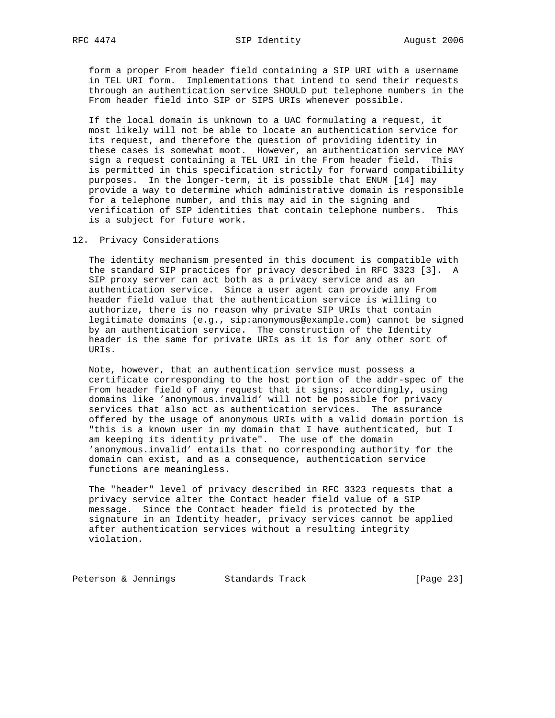form a proper From header field containing a SIP URI with a username in TEL URI form. Implementations that intend to send their requests through an authentication service SHOULD put telephone numbers in the From header field into SIP or SIPS URIs whenever possible.

 If the local domain is unknown to a UAC formulating a request, it most likely will not be able to locate an authentication service for its request, and therefore the question of providing identity in these cases is somewhat moot. However, an authentication service MAY sign a request containing a TEL URI in the From header field. This is permitted in this specification strictly for forward compatibility purposes. In the longer-term, it is possible that ENUM [14] may provide a way to determine which administrative domain is responsible for a telephone number, and this may aid in the signing and verification of SIP identities that contain telephone numbers. This is a subject for future work.

12. Privacy Considerations

 The identity mechanism presented in this document is compatible with the standard SIP practices for privacy described in RFC 3323 [3]. A SIP proxy server can act both as a privacy service and as an authentication service. Since a user agent can provide any From header field value that the authentication service is willing to authorize, there is no reason why private SIP URIs that contain legitimate domains (e.g., sip:anonymous@example.com) cannot be signed by an authentication service. The construction of the Identity header is the same for private URIs as it is for any other sort of URIs.

 Note, however, that an authentication service must possess a certificate corresponding to the host portion of the addr-spec of the From header field of any request that it signs; accordingly, using domains like 'anonymous.invalid' will not be possible for privacy services that also act as authentication services. The assurance offered by the usage of anonymous URIs with a valid domain portion is "this is a known user in my domain that I have authenticated, but I am keeping its identity private". The use of the domain 'anonymous.invalid' entails that no corresponding authority for the domain can exist, and as a consequence, authentication service functions are meaningless.

 The "header" level of privacy described in RFC 3323 requests that a privacy service alter the Contact header field value of a SIP message. Since the Contact header field is protected by the signature in an Identity header, privacy services cannot be applied after authentication services without a resulting integrity violation.

Peterson & Jennings Standards Track [Page 23]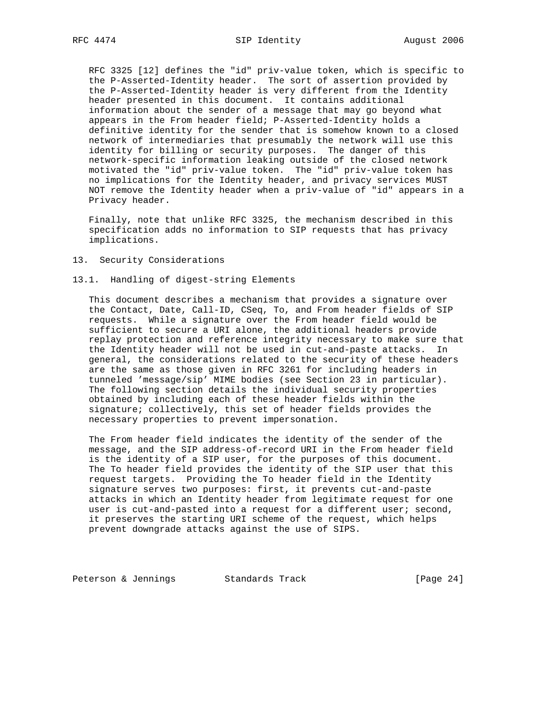RFC 3325 [12] defines the "id" priv-value token, which is specific to the P-Asserted-Identity header. The sort of assertion provided by the P-Asserted-Identity header is very different from the Identity header presented in this document. It contains additional information about the sender of a message that may go beyond what appears in the From header field; P-Asserted-Identity holds a definitive identity for the sender that is somehow known to a closed network of intermediaries that presumably the network will use this identity for billing or security purposes. The danger of this network-specific information leaking outside of the closed network motivated the "id" priv-value token. The "id" priv-value token has no implications for the Identity header, and privacy services MUST NOT remove the Identity header when a priv-value of "id" appears in a Privacy header.

 Finally, note that unlike RFC 3325, the mechanism described in this specification adds no information to SIP requests that has privacy implications.

- 13. Security Considerations
- 13.1. Handling of digest-string Elements

 This document describes a mechanism that provides a signature over the Contact, Date, Call-ID, CSeq, To, and From header fields of SIP requests. While a signature over the From header field would be sufficient to secure a URI alone, the additional headers provide replay protection and reference integrity necessary to make sure that the Identity header will not be used in cut-and-paste attacks. In general, the considerations related to the security of these headers are the same as those given in RFC 3261 for including headers in tunneled 'message/sip' MIME bodies (see Section 23 in particular). The following section details the individual security properties obtained by including each of these header fields within the signature; collectively, this set of header fields provides the necessary properties to prevent impersonation.

 The From header field indicates the identity of the sender of the message, and the SIP address-of-record URI in the From header field is the identity of a SIP user, for the purposes of this document. The To header field provides the identity of the SIP user that this request targets. Providing the To header field in the Identity signature serves two purposes: first, it prevents cut-and-paste attacks in which an Identity header from legitimate request for one user is cut-and-pasted into a request for a different user; second, it preserves the starting URI scheme of the request, which helps prevent downgrade attacks against the use of SIPS.

Peterson & Jennings Standards Track [Page 24]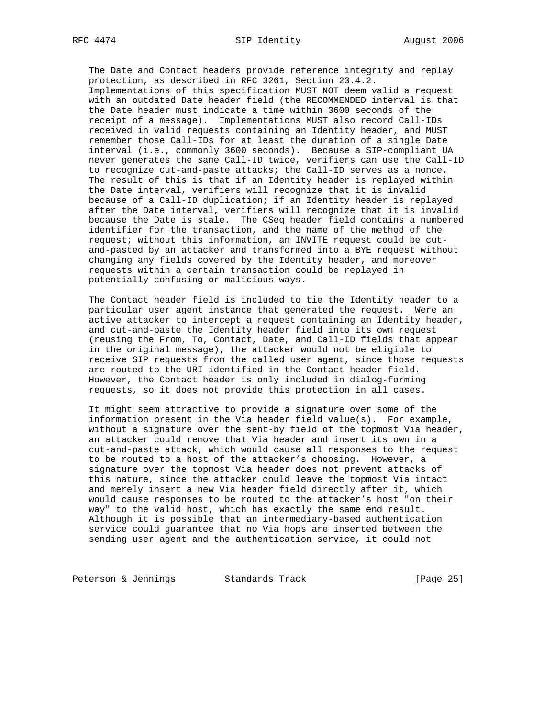The Date and Contact headers provide reference integrity and replay protection, as described in RFC 3261, Section 23.4.2. Implementations of this specification MUST NOT deem valid a request with an outdated Date header field (the RECOMMENDED interval is that the Date header must indicate a time within 3600 seconds of the receipt of a message). Implementations MUST also record Call-IDs received in valid requests containing an Identity header, and MUST remember those Call-IDs for at least the duration of a single Date interval (i.e., commonly 3600 seconds). Because a SIP-compliant UA never generates the same Call-ID twice, verifiers can use the Call-ID to recognize cut-and-paste attacks; the Call-ID serves as a nonce. The result of this is that if an Identity header is replayed within the Date interval, verifiers will recognize that it is invalid because of a Call-ID duplication; if an Identity header is replayed after the Date interval, verifiers will recognize that it is invalid because the Date is stale. The CSeq header field contains a numbered identifier for the transaction, and the name of the method of the request; without this information, an INVITE request could be cut and-pasted by an attacker and transformed into a BYE request without changing any fields covered by the Identity header, and moreover

 The Contact header field is included to tie the Identity header to a particular user agent instance that generated the request. Were an active attacker to intercept a request containing an Identity header, and cut-and-paste the Identity header field into its own request (reusing the From, To, Contact, Date, and Call-ID fields that appear in the original message), the attacker would not be eligible to receive SIP requests from the called user agent, since those requests are routed to the URI identified in the Contact header field. However, the Contact header is only included in dialog-forming requests, so it does not provide this protection in all cases.

requests within a certain transaction could be replayed in

potentially confusing or malicious ways.

 It might seem attractive to provide a signature over some of the information present in the Via header field value(s). For example, without a signature over the sent-by field of the topmost Via header, an attacker could remove that Via header and insert its own in a cut-and-paste attack, which would cause all responses to the request to be routed to a host of the attacker's choosing. However, a signature over the topmost Via header does not prevent attacks of this nature, since the attacker could leave the topmost Via intact and merely insert a new Via header field directly after it, which would cause responses to be routed to the attacker's host "on their way" to the valid host, which has exactly the same end result. Although it is possible that an intermediary-based authentication service could guarantee that no Via hops are inserted between the sending user agent and the authentication service, it could not

Peterson & Jennings Standards Track [Page 25]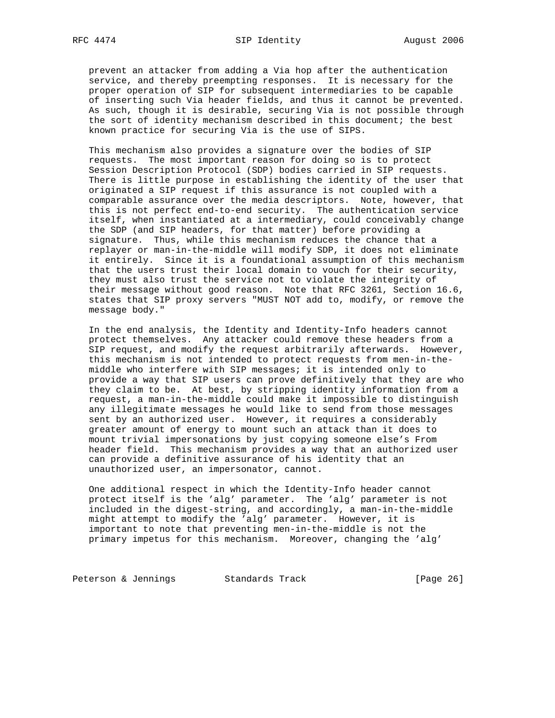prevent an attacker from adding a Via hop after the authentication service, and thereby preempting responses. It is necessary for the proper operation of SIP for subsequent intermediaries to be capable of inserting such Via header fields, and thus it cannot be prevented. As such, though it is desirable, securing Via is not possible through the sort of identity mechanism described in this document; the best known practice for securing Via is the use of SIPS.

 This mechanism also provides a signature over the bodies of SIP requests. The most important reason for doing so is to protect Session Description Protocol (SDP) bodies carried in SIP requests. There is little purpose in establishing the identity of the user that originated a SIP request if this assurance is not coupled with a comparable assurance over the media descriptors. Note, however, that this is not perfect end-to-end security. The authentication service itself, when instantiated at a intermediary, could conceivably change the SDP (and SIP headers, for that matter) before providing a signature. Thus, while this mechanism reduces the chance that a replayer or man-in-the-middle will modify SDP, it does not eliminate it entirely. Since it is a foundational assumption of this mechanism that the users trust their local domain to vouch for their security, they must also trust the service not to violate the integrity of their message without good reason. Note that RFC 3261, Section 16.6, states that SIP proxy servers "MUST NOT add to, modify, or remove the message body."

 In the end analysis, the Identity and Identity-Info headers cannot protect themselves. Any attacker could remove these headers from a SIP request, and modify the request arbitrarily afterwards. However, this mechanism is not intended to protect requests from men-in-the middle who interfere with SIP messages; it is intended only to provide a way that SIP users can prove definitively that they are who they claim to be. At best, by stripping identity information from a request, a man-in-the-middle could make it impossible to distinguish any illegitimate messages he would like to send from those messages sent by an authorized user. However, it requires a considerably greater amount of energy to mount such an attack than it does to mount trivial impersonations by just copying someone else's From header field. This mechanism provides a way that an authorized user can provide a definitive assurance of his identity that an unauthorized user, an impersonator, cannot.

 One additional respect in which the Identity-Info header cannot protect itself is the 'alg' parameter. The 'alg' parameter is not included in the digest-string, and accordingly, a man-in-the-middle might attempt to modify the 'alg' parameter. However, it is important to note that preventing men-in-the-middle is not the primary impetus for this mechanism. Moreover, changing the 'alg'

Peterson & Jennings Standards Track [Page 26]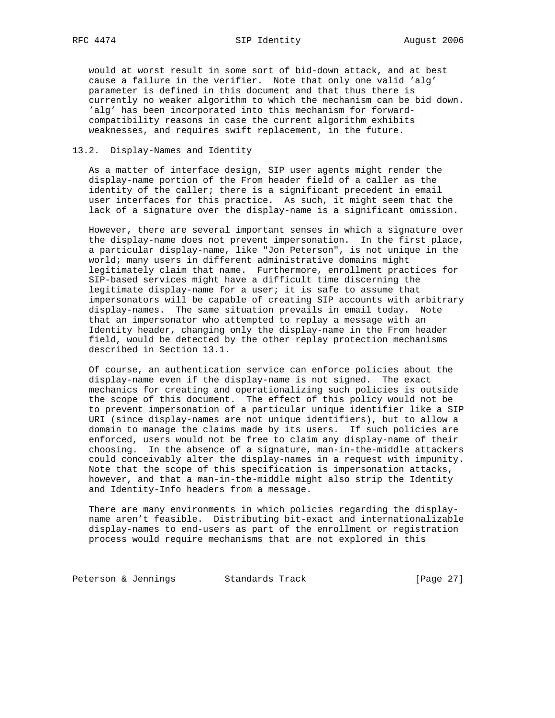would at worst result in some sort of bid-down attack, and at best cause a failure in the verifier. Note that only one valid 'alg' parameter is defined in this document and that thus there is currently no weaker algorithm to which the mechanism can be bid down. 'alg' has been incorporated into this mechanism for forward compatibility reasons in case the current algorithm exhibits weaknesses, and requires swift replacement, in the future.

## 13.2. Display-Names and Identity

 As a matter of interface design, SIP user agents might render the display-name portion of the From header field of a caller as the identity of the caller; there is a significant precedent in email user interfaces for this practice. As such, it might seem that the lack of a signature over the display-name is a significant omission.

 However, there are several important senses in which a signature over the display-name does not prevent impersonation. In the first place, a particular display-name, like "Jon Peterson", is not unique in the world; many users in different administrative domains might legitimately claim that name. Furthermore, enrollment practices for SIP-based services might have a difficult time discerning the legitimate display-name for a user; it is safe to assume that impersonators will be capable of creating SIP accounts with arbitrary display-names. The same situation prevails in email today. Note that an impersonator who attempted to replay a message with an Identity header, changing only the display-name in the From header field, would be detected by the other replay protection mechanisms described in Section 13.1.

 Of course, an authentication service can enforce policies about the display-name even if the display-name is not signed. The exact mechanics for creating and operationalizing such policies is outside the scope of this document. The effect of this policy would not be to prevent impersonation of a particular unique identifier like a SIP URI (since display-names are not unique identifiers), but to allow a domain to manage the claims made by its users. If such policies are enforced, users would not be free to claim any display-name of their choosing. In the absence of a signature, man-in-the-middle attackers could conceivably alter the display-names in a request with impunity. Note that the scope of this specification is impersonation attacks, however, and that a man-in-the-middle might also strip the Identity and Identity-Info headers from a message.

 There are many environments in which policies regarding the display name aren't feasible. Distributing bit-exact and internationalizable display-names to end-users as part of the enrollment or registration process would require mechanisms that are not explored in this

Peterson & Jennings Standards Track [Page 27]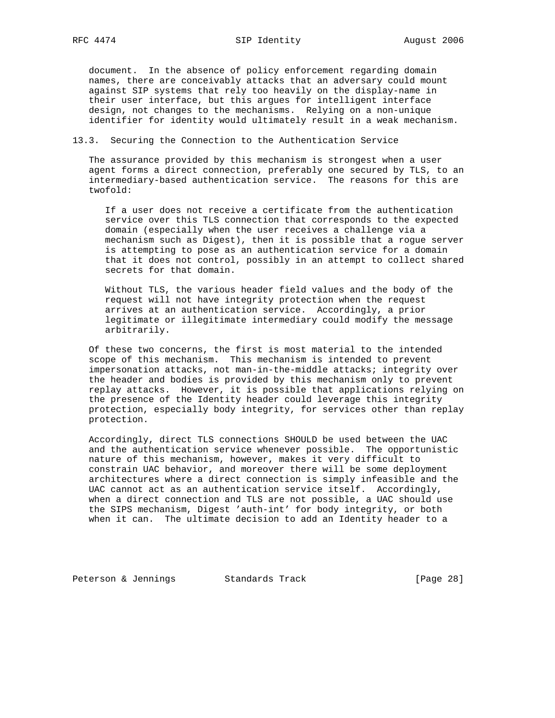document. In the absence of policy enforcement regarding domain names, there are conceivably attacks that an adversary could mount against SIP systems that rely too heavily on the display-name in their user interface, but this argues for intelligent interface design, not changes to the mechanisms. Relying on a non-unique identifier for identity would ultimately result in a weak mechanism.

## 13.3. Securing the Connection to the Authentication Service

 The assurance provided by this mechanism is strongest when a user agent forms a direct connection, preferably one secured by TLS, to an intermediary-based authentication service. The reasons for this are twofold:

 If a user does not receive a certificate from the authentication service over this TLS connection that corresponds to the expected domain (especially when the user receives a challenge via a mechanism such as Digest), then it is possible that a rogue server is attempting to pose as an authentication service for a domain that it does not control, possibly in an attempt to collect shared secrets for that domain.

 Without TLS, the various header field values and the body of the request will not have integrity protection when the request arrives at an authentication service. Accordingly, a prior legitimate or illegitimate intermediary could modify the message arbitrarily.

 Of these two concerns, the first is most material to the intended scope of this mechanism. This mechanism is intended to prevent impersonation attacks, not man-in-the-middle attacks; integrity over the header and bodies is provided by this mechanism only to prevent replay attacks. However, it is possible that applications relying on the presence of the Identity header could leverage this integrity protection, especially body integrity, for services other than replay protection.

 Accordingly, direct TLS connections SHOULD be used between the UAC and the authentication service whenever possible. The opportunistic nature of this mechanism, however, makes it very difficult to constrain UAC behavior, and moreover there will be some deployment architectures where a direct connection is simply infeasible and the UAC cannot act as an authentication service itself. Accordingly, when a direct connection and TLS are not possible, a UAC should use the SIPS mechanism, Digest 'auth-int' for body integrity, or both when it can. The ultimate decision to add an Identity header to a

Peterson & Jennings Standards Track [Page 28]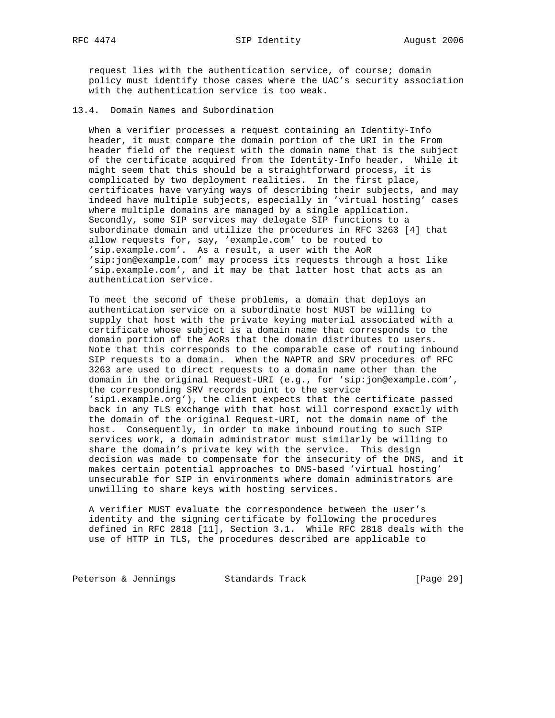request lies with the authentication service, of course; domain policy must identify those cases where the UAC's security association with the authentication service is too weak.

13.4. Domain Names and Subordination

 When a verifier processes a request containing an Identity-Info header, it must compare the domain portion of the URI in the From header field of the request with the domain name that is the subject of the certificate acquired from the Identity-Info header. While it might seem that this should be a straightforward process, it is complicated by two deployment realities. In the first place, certificates have varying ways of describing their subjects, and may indeed have multiple subjects, especially in 'virtual hosting' cases where multiple domains are managed by a single application. Secondly, some SIP services may delegate SIP functions to a subordinate domain and utilize the procedures in RFC 3263 [4] that allow requests for, say, 'example.com' to be routed to 'sip.example.com'. As a result, a user with the AoR 'sip:jon@example.com' may process its requests through a host like 'sip.example.com', and it may be that latter host that acts as an authentication service.

 To meet the second of these problems, a domain that deploys an authentication service on a subordinate host MUST be willing to supply that host with the private keying material associated with a certificate whose subject is a domain name that corresponds to the domain portion of the AoRs that the domain distributes to users. Note that this corresponds to the comparable case of routing inbound SIP requests to a domain. When the NAPTR and SRV procedures of RFC 3263 are used to direct requests to a domain name other than the domain in the original Request-URI (e.g., for 'sip:jon@example.com', the corresponding SRV records point to the service 'sip1.example.org'), the client expects that the certificate passed back in any TLS exchange with that host will correspond exactly with the domain of the original Request-URI, not the domain name of the host. Consequently, in order to make inbound routing to such SIP services work, a domain administrator must similarly be willing to share the domain's private key with the service. This design decision was made to compensate for the insecurity of the DNS, and it makes certain potential approaches to DNS-based 'virtual hosting' unsecurable for SIP in environments where domain administrators are unwilling to share keys with hosting services.

 A verifier MUST evaluate the correspondence between the user's identity and the signing certificate by following the procedures defined in RFC 2818 [11], Section 3.1. While RFC 2818 deals with the use of HTTP in TLS, the procedures described are applicable to

Peterson & Jennings Standards Track [Page 29]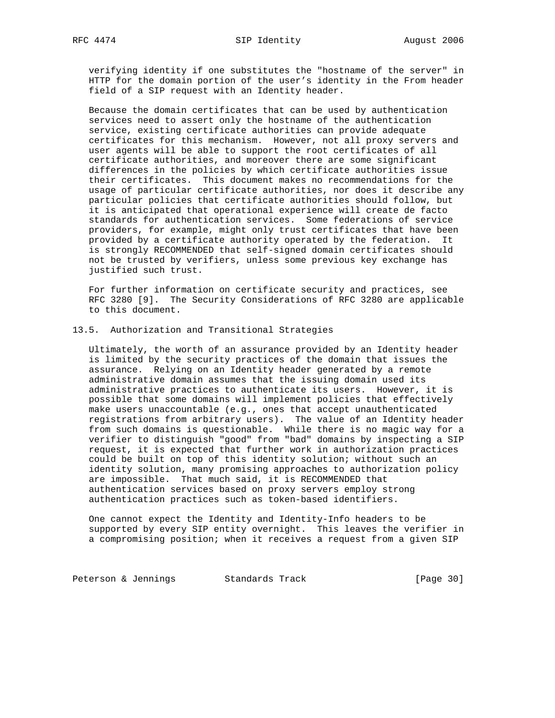verifying identity if one substitutes the "hostname of the server" in HTTP for the domain portion of the user's identity in the From header field of a SIP request with an Identity header.

 Because the domain certificates that can be used by authentication services need to assert only the hostname of the authentication service, existing certificate authorities can provide adequate certificates for this mechanism. However, not all proxy servers and user agents will be able to support the root certificates of all certificate authorities, and moreover there are some significant differences in the policies by which certificate authorities issue their certificates. This document makes no recommendations for the usage of particular certificate authorities, nor does it describe any particular policies that certificate authorities should follow, but it is anticipated that operational experience will create de facto standards for authentication services. Some federations of service providers, for example, might only trust certificates that have been provided by a certificate authority operated by the federation. It is strongly RECOMMENDED that self-signed domain certificates should not be trusted by verifiers, unless some previous key exchange has justified such trust.

 For further information on certificate security and practices, see RFC 3280 [9]. The Security Considerations of RFC 3280 are applicable to this document.

# 13.5. Authorization and Transitional Strategies

 Ultimately, the worth of an assurance provided by an Identity header is limited by the security practices of the domain that issues the assurance. Relying on an Identity header generated by a remote administrative domain assumes that the issuing domain used its administrative practices to authenticate its users. However, it is possible that some domains will implement policies that effectively make users unaccountable (e.g., ones that accept unauthenticated registrations from arbitrary users). The value of an Identity header from such domains is questionable. While there is no magic way for a verifier to distinguish "good" from "bad" domains by inspecting a SIP request, it is expected that further work in authorization practices could be built on top of this identity solution; without such an identity solution, many promising approaches to authorization policy are impossible. That much said, it is RECOMMENDED that authentication services based on proxy servers employ strong authentication practices such as token-based identifiers.

 One cannot expect the Identity and Identity-Info headers to be supported by every SIP entity overnight. This leaves the verifier in a compromising position; when it receives a request from a given SIP

Peterson & Jennings Standards Track [Page 30]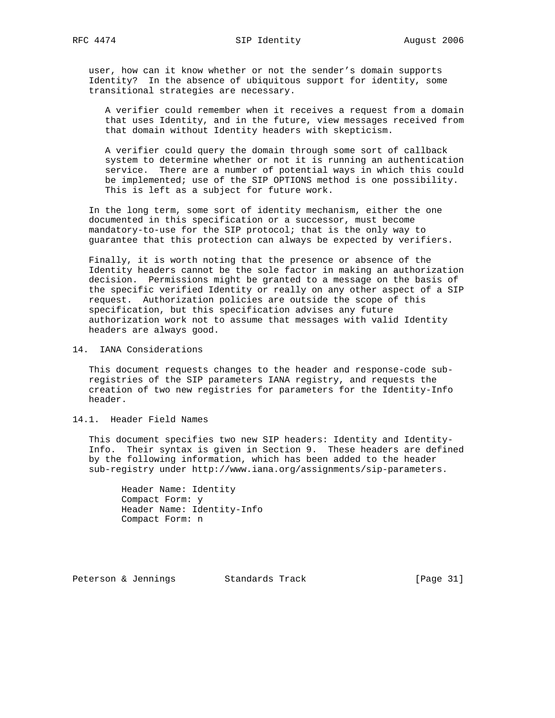user, how can it know whether or not the sender's domain supports Identity? In the absence of ubiquitous support for identity, some transitional strategies are necessary.

 A verifier could remember when it receives a request from a domain that uses Identity, and in the future, view messages received from that domain without Identity headers with skepticism.

 A verifier could query the domain through some sort of callback system to determine whether or not it is running an authentication service. There are a number of potential ways in which this could be implemented; use of the SIP OPTIONS method is one possibility. This is left as a subject for future work.

 In the long term, some sort of identity mechanism, either the one documented in this specification or a successor, must become mandatory-to-use for the SIP protocol; that is the only way to guarantee that this protection can always be expected by verifiers.

 Finally, it is worth noting that the presence or absence of the Identity headers cannot be the sole factor in making an authorization decision. Permissions might be granted to a message on the basis of the specific verified Identity or really on any other aspect of a SIP request. Authorization policies are outside the scope of this specification, but this specification advises any future authorization work not to assume that messages with valid Identity headers are always good.

14. IANA Considerations

 This document requests changes to the header and response-code sub registries of the SIP parameters IANA registry, and requests the creation of two new registries for parameters for the Identity-Info header.

14.1. Header Field Names

This document specifies two new SIP headers: Identity and Identity- Info. Their syntax is given in Section 9. These headers are defined by the following information, which has been added to the header sub-registry under http://www.iana.org/assignments/sip-parameters.

 Header Name: Identity Compact Form: y Header Name: Identity-Info Compact Form: n

Peterson & Jennings Standards Track [Page 31]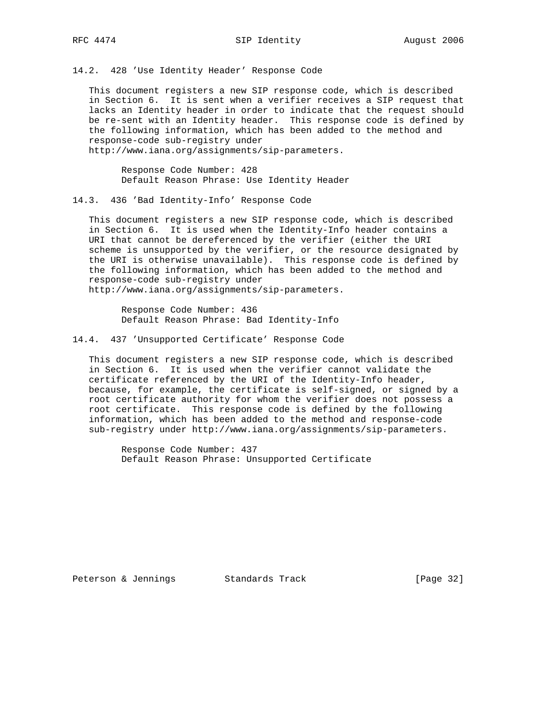14.2. 428 'Use Identity Header' Response Code

 This document registers a new SIP response code, which is described in Section 6. It is sent when a verifier receives a SIP request that lacks an Identity header in order to indicate that the request should be re-sent with an Identity header. This response code is defined by the following information, which has been added to the method and response-code sub-registry under http://www.iana.org/assignments/sip-parameters.

 Response Code Number: 428 Default Reason Phrase: Use Identity Header

14.3. 436 'Bad Identity-Info' Response Code

 This document registers a new SIP response code, which is described in Section 6. It is used when the Identity-Info header contains a URI that cannot be dereferenced by the verifier (either the URI scheme is unsupported by the verifier, or the resource designated by the URI is otherwise unavailable). This response code is defined by the following information, which has been added to the method and response-code sub-registry under http://www.iana.org/assignments/sip-parameters.

 Response Code Number: 436 Default Reason Phrase: Bad Identity-Info

## 14.4. 437 'Unsupported Certificate' Response Code

 This document registers a new SIP response code, which is described in Section 6. It is used when the verifier cannot validate the certificate referenced by the URI of the Identity-Info header, because, for example, the certificate is self-signed, or signed by a root certificate authority for whom the verifier does not possess a root certificate. This response code is defined by the following information, which has been added to the method and response-code sub-registry under http://www.iana.org/assignments/sip-parameters.

 Response Code Number: 437 Default Reason Phrase: Unsupported Certificate

Peterson & Jennings Standards Track [Page 32]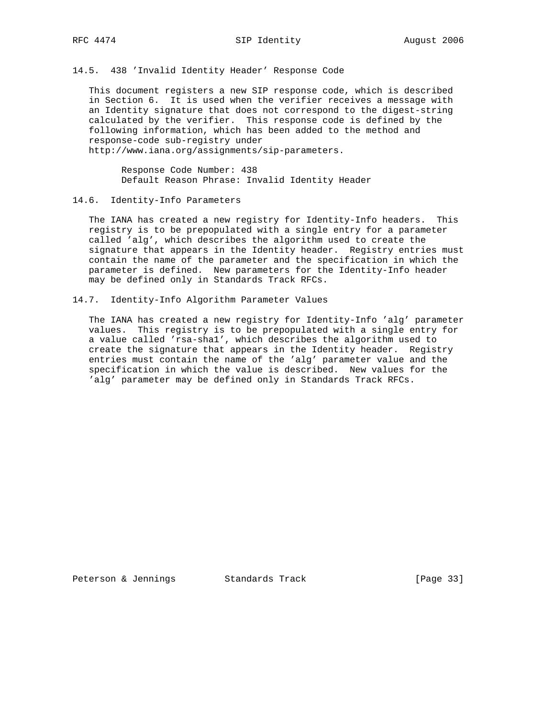14.5. 438 'Invalid Identity Header' Response Code

 This document registers a new SIP response code, which is described in Section 6. It is used when the verifier receives a message with an Identity signature that does not correspond to the digest-string calculated by the verifier. This response code is defined by the following information, which has been added to the method and response-code sub-registry under http://www.iana.org/assignments/sip-parameters.

 Response Code Number: 438 Default Reason Phrase: Invalid Identity Header

#### 14.6. Identity-Info Parameters

 The IANA has created a new registry for Identity-Info headers. This registry is to be prepopulated with a single entry for a parameter called 'alg', which describes the algorithm used to create the signature that appears in the Identity header. Registry entries must contain the name of the parameter and the specification in which the parameter is defined. New parameters for the Identity-Info header may be defined only in Standards Track RFCs.

14.7. Identity-Info Algorithm Parameter Values

 The IANA has created a new registry for Identity-Info 'alg' parameter values. This registry is to be prepopulated with a single entry for a value called 'rsa-sha1', which describes the algorithm used to create the signature that appears in the Identity header. Registry entries must contain the name of the 'alg' parameter value and the specification in which the value is described. New values for the 'alg' parameter may be defined only in Standards Track RFCs.

Peterson & Jennings Standards Track [Page 33]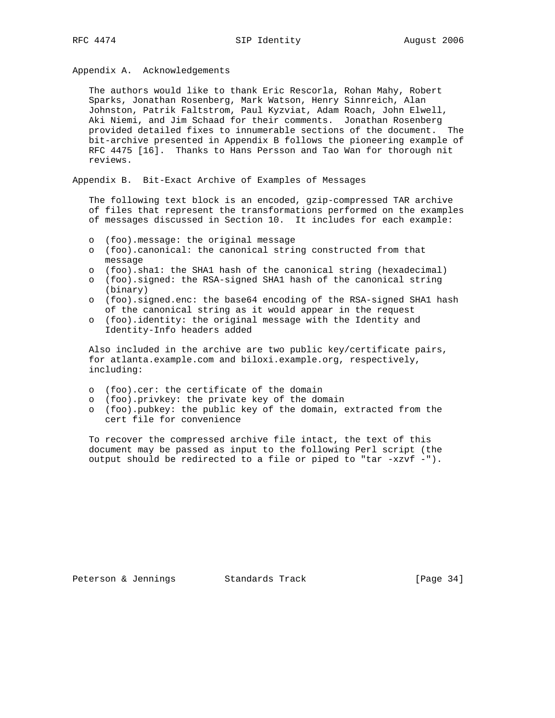Appendix A. Acknowledgements

 The authors would like to thank Eric Rescorla, Rohan Mahy, Robert Sparks, Jonathan Rosenberg, Mark Watson, Henry Sinnreich, Alan Johnston, Patrik Faltstrom, Paul Kyzviat, Adam Roach, John Elwell, Aki Niemi, and Jim Schaad for their comments. Jonathan Rosenberg provided detailed fixes to innumerable sections of the document. The bit-archive presented in Appendix B follows the pioneering example of RFC 4475 [16]. Thanks to Hans Persson and Tao Wan for thorough nit reviews.

Appendix B. Bit-Exact Archive of Examples of Messages

 The following text block is an encoded, gzip-compressed TAR archive of files that represent the transformations performed on the examples of messages discussed in Section 10. It includes for each example:

- o (foo).message: the original message
- o (foo).canonical: the canonical string constructed from that message
- o (foo).sha1: the SHA1 hash of the canonical string (hexadecimal)
- o (foo).signed: the RSA-signed SHA1 hash of the canonical string (binary)
- o (foo).signed.enc: the base64 encoding of the RSA-signed SHA1 hash of the canonical string as it would appear in the request
- o (foo).identity: the original message with the Identity and Identity-Info headers added

 Also included in the archive are two public key/certificate pairs, for atlanta.example.com and biloxi.example.org, respectively, including:

- o (foo).cer: the certificate of the domain
- o (foo).privkey: the private key of the domain
- o (foo).pubkey: the public key of the domain, extracted from the cert file for convenience

 To recover the compressed archive file intact, the text of this document may be passed as input to the following Perl script (the output should be redirected to a file or piped to "tar -xzvf -").

Peterson & Jennings Standards Track [Page 34]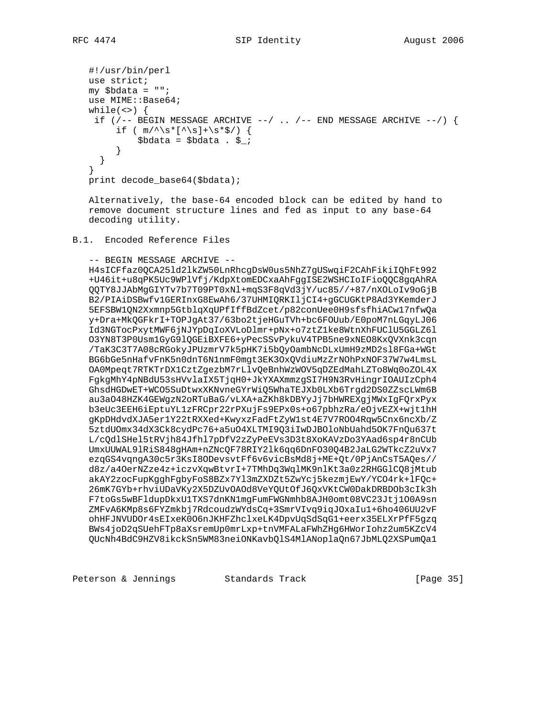```
 #!/usr/bin/perl
   use strict;
   my $bdata = "";
   use MIME::Base64;
  while(\langle \rangle) {
   if (/-- BEGIN MESSAGE ARCHIVE --/ .. /-- END MESSAGE ARCHIVE --/) {
        if ( m/\lambda s^*[\lambda s]+\sigma^*$/) {
            $bdata = $bdata . $ }
     }
   }
   print decode_base64($bdata);
```
 Alternatively, the base-64 encoded block can be edited by hand to remove document structure lines and fed as input to any base-64 decoding utility.

## B.1. Encoded Reference Files

```
 -- BEGIN MESSAGE ARCHIVE --
H4sICFfaz0QCA25ld2lkZW50LnRhcgDsW0us5NhZ7gUSwqiF2CAhFikiIQhFt992
+U46it+u8qPK5Uc9WPlVfj/KdpXtomEDCxaAhFggISE2WSHCIoIFioQQC8gqAhRA
QQTY8JJAbMgGIYTv7b7T09PT0xNl+mqS3F8qVd3jY/uc85//+87/nXOLoIv9oGjB
B2/PIAiDSBwfv1GERInxG8EwAh6/37UHMIQRKIljCI4+gGCUGKtP8Ad3YKemderJ
5EFSBW1QN2Xxmnp5GtblqXqUPfIffBdZcet/p82conUee0H9sfsfhiACw17nfwQa
y+Dra+MkQGFkrI+TOPJgAt37/63bo2tjeHGuTVh+bc6FOUub/E0poM7nLGqyLJ06
Id3NGTocPxytMWF6jNJYpDqIoXVLoDlmr+pNx+o7ztZ1ke8WtnXhFUClU5GGLZ6l
O3YN8T3P0Usm1GyG9lQGEiBXFE6+yPecSSvPykuV4TPB5ne9xNEO8KxQVXnk3cqn
/TaK3C3T7A08cRGokyJPUzmrV7k5pHK7i5bQyOambNcDLxUmH9zMD2sl8FGa+WGt
BG6bGe5nHafvFnK5n0dnT6N1nmF0mgt3EK3OxQVdiuMzZrNOhPxNOF37W7w4LmsL
OA0Mpeqt7RTKTrDX1CztZgezbM7rLlvQeBnhWzWOV5qDZEdMahLZTo8Wq0oZOL4X
FgkgMhY4pNBdU53sHVvlaIX5TjqH0+JkYXAXmmzgSI7H9N3RvHingrIOAUIzCph4
GhsdHGDwET+WCO5SuDtwxXKNvneGYrWiQ5WhaTEJXb0LXb6Trgd2DS0ZZscLWm6B
au3aO48HZK4GEWgzN2oRTuBaG/vLXA+aZKh8kDBYyJj7bHWREXgjMWxIgFQrxPyx
b3eUc3EEH6iEptuYL1zFRCpr22rPXujFs9EPx0s+o67pbhzRa/eOjvEZX+wjt1hH
gKpDHdvdXJA5er1Y22tRXXed+KwyxzFadFtZyW1st4E7V7ROO4Rqw5Cnx6ncXb/Z
5ztdUOmx34dX3Ck8cydPc76+a5uO4XLTMI9Q3iIwDJBOloNbUahd5OK7FnQu637t
L/cQdlSHel5tRVjh84Jfhl7pDfV2zZyPeEVs3D3t8XoKAVzDo3YAad6sp4r8nCUb
UmxUUWAL9lRiS848gHAm+nZNcQF78RIY2lk6qq6DnFO30Q4B2JaLG2WTkcZ2uVx7
ezqGS4vqngA30c5r3KsI8ODevsvtFf6v6vicBsMd8j+ME+Qt/0PjAnCsT5AQes//
d8z/a4OerNZze4z+iczvXqwBtvrI+7TMhDq3WqlMK9nlKt3a0z2RHGGlCQ8jMtub
akAY2zocFupKgghFgbyFoS8BZx7Yl3mZXDZt5ZwYcj5kezmjEwY/YCO4rk+lFQc+
26mK7GYb+rhviUDaVKy2X5DZUvOAOd8VeYQUtOfJ6QxVKtCW0DakDRBDOb3cIk3h
F7toGs5wBFldupDkxU1TXS7dnKN1mgFumFWGNmhb8AJH0omt08VC23Jtj1O0A9sn
ZMFvA6KMp8s6FYZmkbj7RdcoudzWYdsCq+3SmrVIvq9iqJOxaIu1+6ho406UU2vF
ohHFJNVUDOr4sEIxeK0O6nJKHFZhclxeLK4DpvUqSdSqG1+eerx35ELXrPfF5gzq
BWs4joD2qSUehFTp8aXsremUp0mrLxp+tnVMFALaFWhZHg6HWorIohz2um5KZcV4
QUcNh4BdC9HZV8ikckSn5WM83neiONKavbQlS4MlANoplaQn67JbMLQ2XSPumQa1
```
Peterson & Jennings Standards Track [Page 35]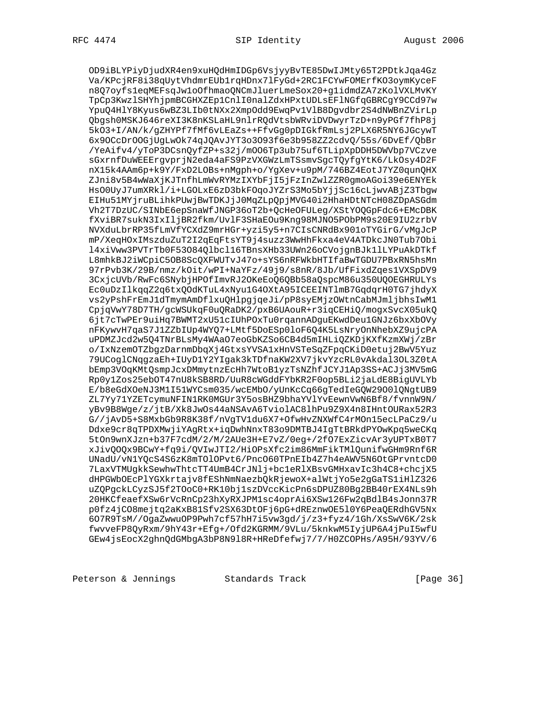OD9iBLYPiyDjudXR4en9xuHQdHmIDGp6VsjyyBvTE85DwIJMty65T2PDtkJqa4Gz Va/KPcjRF8i38qUytVhdmrEUb1rqHDnx7lFyGd+2RC1FCYwFOMErfKO3oymKyceF n8Q7oyfs1eqMEFsqJw1oOfhmaoQNCmJluerLmeSox20+g1idmdZA7zKolVXLMvKY TpCp3KwzlSHYhjpmBCGHXZEp1CnlI0nalZdxHPxtUDLsEFlNGfqGBRCgY9CCd97w YpuQ4HlY8Kyus6wBZ3LIb0tNXx2XmpOdd9EwqPv1VlB8Dgvdbr2S4dNWBnZVirLp Qbgsh0MSKJ646reXI3K8nKSLaHL9nlrRQdVtsbWRviDVDwyrTzD+n9yPGf7fhP8j 5kO3+I/AN/k/gZHYPf7fMf6vLEaZs++FfvGg0pDIGkfRmLsj2PLX6R5NY6JGcywT 6x9OCcDrOOGjUgLwOk74qJQAvJYT3o3O93f6e3b958ZZ2cdvQ/55s/6DvEf/QbBr /YeAifv4/yToP3DCsnQyfZP+s32j/mOO6Tp3ub75uf6TLipXpDDH5DWVbp7VCzve sGxrnfDuWEEErgvprjN2eda4aFS9PzVXGWzLmTSsmvSgcTQyfgYtK6/LkOsy4D2F nX15k4AAm6p+k9Y/FxD2LOBs+nMgph+o/YgXev+u9pM/746BZ4EotJ7YZ0qunQHX ZJni8v5B4wWaXjKJTnfhLmWvRYMzIXYbFjI5jFzInZwlZZR0gmoAGoi39e6ENYEk HsO0UyJ7umXRkl/i+LGOLxE6zD3bkFOqoJYZrS3Mo5bYjjSc16cLjwvABjZ3Tbgw EIHu51MYjruBLihkPUwjBwTDKJjJ0MqZLpQpjMVG40i2HhaHDtNTcH08ZDpASGdm Vh2T7DzUC/SINbE6epSnaWfJNGP36oT2b+QcHeOFULeg/XStYOQGpFdc6+EMcDBK fXviBR7sukN3IxIljBR2fkm/UvlF3SHaEOu9Kng98MJNO5PObPM9s20E9IU2zrbV NVXduLbrRP35fLmVfYCXdZ9mrHGr+yzi5y5+n7CIsCNRdBx901oTYGirG/vMgJcP mP/XeqHOxIMszduZuT2I2qEqFtsYT9j4suzz3WwHhFkxa4eV4ATDkcJN0Tub7Obi l4xiVww3PVTrTb0F53O84Qlbcl16TBnsXHb33UWn26oCVojgnBJk1lLYPuAkDTkf L8mhkBJ2iWCpiC5OB8ScQXFWUTvJ47o+sYS6nRFWkbHTIfaBwTGDU7PBxRN5hsMn 97rPvb3K/29B/nmz/kOit/wPI+NaYFz/49j9/s8nR/8Jb/UfFixdZqes1VXSpDV9 3CxjcUVb/RwFc6SNybjHPOfImvRJ2OKeEoQ6QBb58aQspcM86u350UQOEGHRULYs Ec0uDzIlkqqZ2q6txQOdKTuL4xNyu1G4OXtA95ICEEINTlmB7GqdqrH0TG7jhdyX vs2yPshFrEmJ1dTmymAmDflxuQHlpgjqeJi/pP8syEMjzOWtnCabMJmljbhsIwM1 CpjqVwY78D7TH/gcWSUkqF0uQRaDK2/pxB6UAouR+r3iqCEHiQ/mogxSvcX05ukQ 6jt7cTwPEr9uiHq7BWMT2xU51cIUhPOxTu0rqannADguEKwdDeu1GNJz6bxXbOVy nFKywvH7qaS7J1ZZbIUp4WYQ7+LMtf5DoESp0loF6Q4K5LsNryOnNhebXZ9ujcPA uPDMZJcd2w5Q4TNrBLsMy4WAaO7eoGbKZSo6CB4d5mIHLiQZKDjKXfKzmXWj/zBr o/IxNzemOTZbgzDarnmDbqXj4GtxsYVSA1xHnVSTeSqZFpqCKiD0etuj2BwV5Yuz 79UCoglCNqgzaEh+IUyD1Y2YIgak3kTDfnaKW2XV7jkvYzcRL0vAkdal3OL3Z0tA bEmp3VOqKMtQsmpJcxDMmytnzEcHh7WtoB1yzTsNZhfJCYJ1Ap3SS+ACJj3MV5mG Rp0y1Zos25ebOT47nU8kSB8RD/UuR8cWGddFYbKR2F0op5BLi2jaLdE8BigUVLYb E/b8eGdXOeNJ3M1I51WYCsm035/wcEMbO/yUnKcCq66gTedIeGQW29O0lQNgtUB9 ZL7Yy71YZETcymuNFIN1RK0MGUr3Y5osBHZ9bhaYVlYvEewnVwN6Bf8/fvnnW9N/ yBv9B8Wge/z/jtB/Xk8JwOs44aNSAvA6TviolAC8lhPu9Z9X4n8IHntOURax52R3 G//jAvD5+S8MxbGb9R8K38f/nVgTV1du6X7+OfwHvZNXWfC4rMOn15ecLPaCz9/u Ddxe9cr8qTPDXMwjiYAgRtx+iqDwhNnxT83o9DMTBJ4IgTtBRkdPYOwKpq5weCKq 5tOn9wnXJzn+b37F7cdM/2/M/2AUe3H+E7vZ/0eg+/2fO7ExZicvAr3yUPTxB0T7 xJivQOQx9BCwY+fq9i/QVIwJTI2/HiOPsXfc2im86MmFikTMlQunifwGHm9Rnf6R UNadU/vN1YQcS4S6zK8mTOlOPvt6/PncO60TPnEIb4Z7h4eAWV5N6OtGPrvntcD0 7LaxVTMUgkkSewhwThtcTT4UmB4CrJNlj+bc1eRlXBsvGMHxavIc3h4C8+chcjX5 dHPGWbOEcPlYGXkrtajv8fEShNmNaezbQkRjewoX+alWtjYo5e2gGaTS1iHlZ326 uZQPgckLCyzSJ5f2TOoC0+RK10bj1szDVccKicPn6sDPUZ80Bg2BB40rEX4NLs9h 20HKCfeaefXSw6rVcRnCp23hXyRXJPM1sc4oprAi6XSw126Fw2qBdlB4sJonn37R p0fz4jCO8mejtq2aKxB81Sfv2SX63DtOFj6pG+dREznwOE5l0Y6PeaQERdhGV5Nx 6O7R9TsM//OgaZwwuOP9Pwh7cf57hH7i5vw3gd/j/z3+fyz4/1Gh/XsSwV6K/2sk fwvveFP8QyRxm/9hY43r+Efg+/Ofd2KGRMM/9VLu/5knkwM5IyjUP6A4jPuI5wfU GEw4jsEocX2ghnQdGMbgA3bP8N9l8R+HReDfefwj7/7/H0ZCOPHs/A95H/93YV/6

Peterson & Jennings Standards Track [Page 36]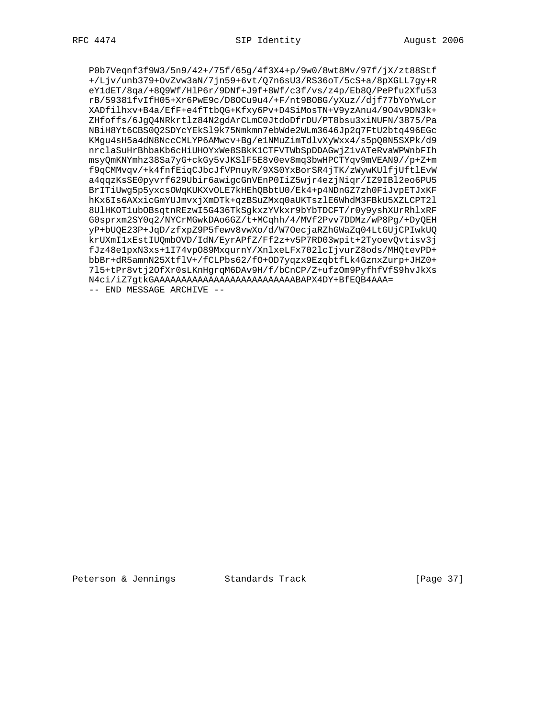P0b7Veqnf3f9W3/5n9/42+/75f/65g/4f3X4+p/9w0/8wt8Mv/97f/jX/zt88Stf +/Ljv/unb379+OvZvw3aN/7jn59+6vt/Q7n6sU3/RS36oT/5cS+a/8pXGLL7gy+R eY1dET/8qa/+8Q9Wf/HlP6r/9DNf+J9f+8Wf/c3f/vs/z4p/Eb8Q/PePfu2Xfu53 rB/59381fvIfH05+Xr6PwE9c/D8OCu9u4/+F/nt9BOBG/yXuz//djf77bYoYwLcr XADfilhxv+B4a/EfF+e4fTtbQG+Kfxy6Pv+D4SiMosTN+V9yzAnu4/9O4v9DN3k+ ZHfoffs/6JgQ4NRkrtlz84N2gdArCLmC0JtdoDfrDU/PT8bsu3xiNUFN/3875/Pa NBiH8Yt6CBS0Q2SDYcYEkSl9k75Nmkmn7ebWde2WLm3646Jp2q7FtU2btq496EGc KMgu4sH5a4dN8NccCMLYP6AMwcv+Bg/e1NMuZimTdlvXyWxx4/s5pQ0N5SXPk/d9 nrclaSuHrBhbaKb6cHiUHOYxWe8SBkK1CTFVTWbSpDDAGwjZ1vATeRvaWPWnbFIh msyQmKNYmhz38Sa7yG+ckGy5vJKSlF5E8v0ev8mq3bwHPCTYqv9mVEAN9//p+Z+m f9qCMMvqv/+k4fnfEiqCJbcJfVPnuyR/9XS0YxBorSR4jTK/zWywKUlfjUftlEvW a4qqzKsSE0pyvrf629Ubir6awigcGnVEnP0IiZ5wjr4ezjNiqr/IZ9IBl2eo6PU5 BrITiUwg5p5yxcsOWqKUKXvOLE7kHEhQBbtU0/Ek4+p4NDnGZ7zh0FiJvpETJxKF hKx6Is6AXxicGmYUJmvxjXmDTk+qzBSuZMxq0aUKTszlE6WhdM3FBkU5XZLCPT2l 8UlHKOT1ubOBsqtnREzwI5G436TkSgkxzYVkxr9bYbTDCFT/r0y9yshXUrRhlxRF G0sprxm2SY0q2/NYCrMGwkDAo6GZ/t+MCqhh/4/MVf2Pvv7DDMz/wP8Pg/+DyQEH yP+bUQE23P+JqD/zfxpZ9P5fewv8vwXo/d/W7OecjaRZhGWaZq04LtGUjCPIwkUQ krUXmI1xEstIUQmbOVD/IdN/EyrAPfZ/Ff2z+v5P7RD03wpit+2TyoevQvtisv3j fJz48e1pxN3xs+1I74vpO89MxqurnY/XnlxeLFx702lcIjvurZ8ods/MHQtevPD+ bbBr+dR5amnN25XtflV+/fCLPbs62/fO+OD7yqzx9EzqbtfLk4GznxZurp+JHZ0+ 7l5+tPr8vtj2OfXr0sLKnHgrqM6DAv9H/f/bCnCP/Z+ufzOm9PyfhfVfS9hvJkXs N4ci/iZ7gtkGAAAAAAAAAAAAAAAAAAAAAAAAAABAPX4DY+BfEQB4AAA= -- END MESSAGE ARCHIVE --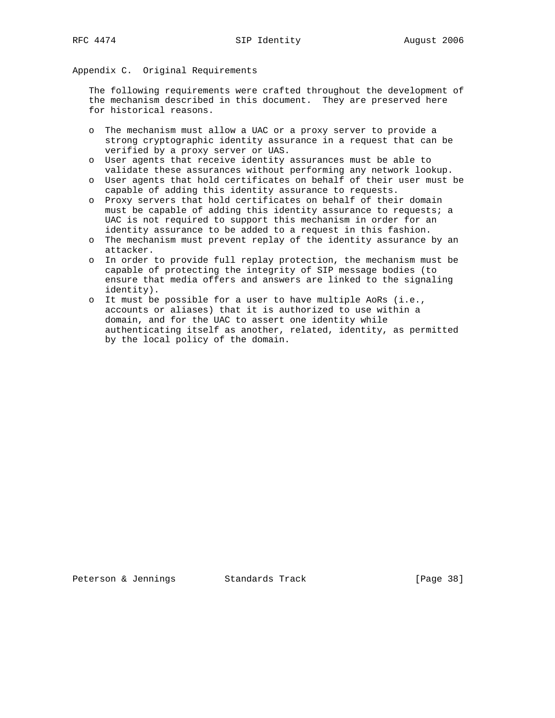# Appendix C. Original Requirements

 The following requirements were crafted throughout the development of the mechanism described in this document. They are preserved here for historical reasons.

- o The mechanism must allow a UAC or a proxy server to provide a strong cryptographic identity assurance in a request that can be verified by a proxy server or UAS.
- o User agents that receive identity assurances must be able to validate these assurances without performing any network lookup.
- o User agents that hold certificates on behalf of their user must be capable of adding this identity assurance to requests.
- o Proxy servers that hold certificates on behalf of their domain must be capable of adding this identity assurance to requests; a UAC is not required to support this mechanism in order for an identity assurance to be added to a request in this fashion.
- o The mechanism must prevent replay of the identity assurance by an attacker.
- o In order to provide full replay protection, the mechanism must be capable of protecting the integrity of SIP message bodies (to ensure that media offers and answers are linked to the signaling identity).
- o It must be possible for a user to have multiple AoRs (i.e., accounts or aliases) that it is authorized to use within a domain, and for the UAC to assert one identity while authenticating itself as another, related, identity, as permitted by the local policy of the domain.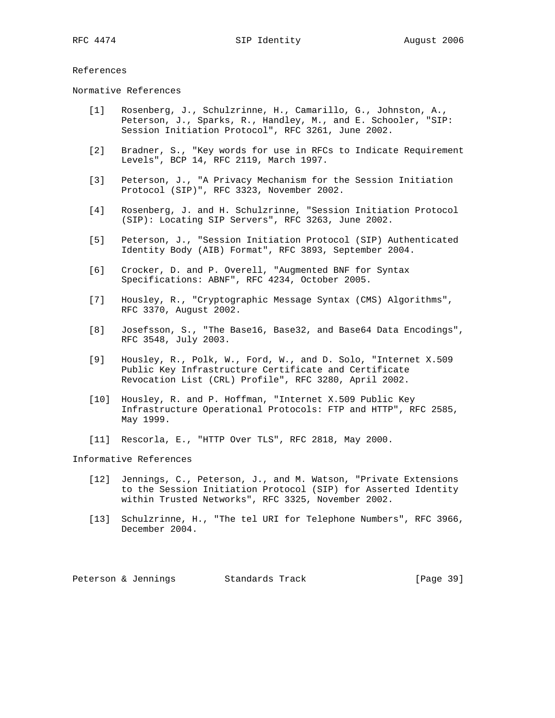### References

Normative References

- [1] Rosenberg, J., Schulzrinne, H., Camarillo, G., Johnston, A., Peterson, J., Sparks, R., Handley, M., and E. Schooler, "SIP: Session Initiation Protocol", RFC 3261, June 2002.
- [2] Bradner, S., "Key words for use in RFCs to Indicate Requirement Levels", BCP 14, RFC 2119, March 1997.
- [3] Peterson, J., "A Privacy Mechanism for the Session Initiation Protocol (SIP)", RFC 3323, November 2002.
- [4] Rosenberg, J. and H. Schulzrinne, "Session Initiation Protocol (SIP): Locating SIP Servers", RFC 3263, June 2002.
- [5] Peterson, J., "Session Initiation Protocol (SIP) Authenticated Identity Body (AIB) Format", RFC 3893, September 2004.
- [6] Crocker, D. and P. Overell, "Augmented BNF for Syntax Specifications: ABNF", RFC 4234, October 2005.
- [7] Housley, R., "Cryptographic Message Syntax (CMS) Algorithms", RFC 3370, August 2002.
- [8] Josefsson, S., "The Base16, Base32, and Base64 Data Encodings", RFC 3548, July 2003.
- [9] Housley, R., Polk, W., Ford, W., and D. Solo, "Internet X.509 Public Key Infrastructure Certificate and Certificate Revocation List (CRL) Profile", RFC 3280, April 2002.
- [10] Housley, R. and P. Hoffman, "Internet X.509 Public Key Infrastructure Operational Protocols: FTP and HTTP", RFC 2585, May 1999.
- [11] Rescorla, E., "HTTP Over TLS", RFC 2818, May 2000.

Informative References

- [12] Jennings, C., Peterson, J., and M. Watson, "Private Extensions to the Session Initiation Protocol (SIP) for Asserted Identity within Trusted Networks", RFC 3325, November 2002.
- [13] Schulzrinne, H., "The tel URI for Telephone Numbers", RFC 3966, December 2004.

Peterson & Jennings Standards Track [Page 39]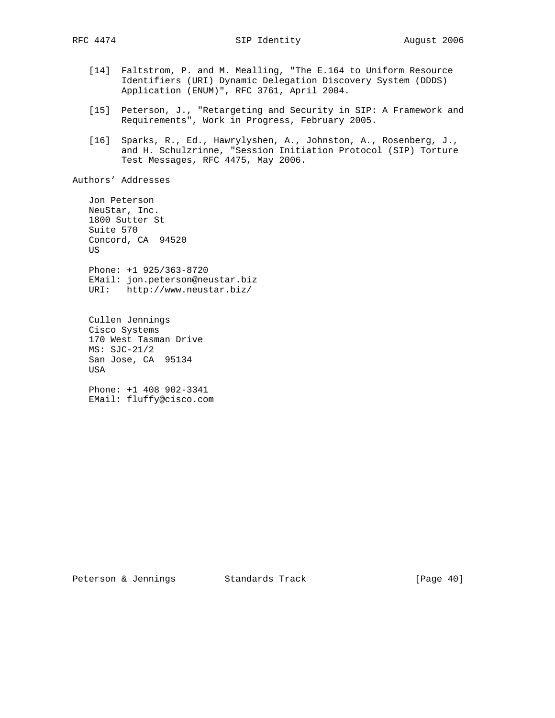- [14] Faltstrom, P. and M. Mealling, "The E.164 to Uniform Resource Identifiers (URI) Dynamic Delegation Discovery System (DDDS) Application (ENUM)", RFC 3761, April 2004.
- [15] Peterson, J., "Retargeting and Security in SIP: A Framework and Requirements", Work in Progress, February 2005.
	- [16] Sparks, R., Ed., Hawrylyshen, A., Johnston, A., Rosenberg, J., and H. Schulzrinne, "Session Initiation Protocol (SIP) Torture Test Messages, RFC 4475, May 2006.

Authors' Addresses

 Jon Peterson NeuStar, Inc. 1800 Sutter St Suite 570 Concord, CA 94520 US Phone: +1 925/363-8720 EMail: jon.peterson@neustar.biz URI: http://www.neustar.biz/

 Cullen Jennings Cisco Systems 170 West Tasman Drive MS: SJC-21/2 San Jose, CA 95134 USA

 Phone: +1 408 902-3341 EMail: fluffy@cisco.com